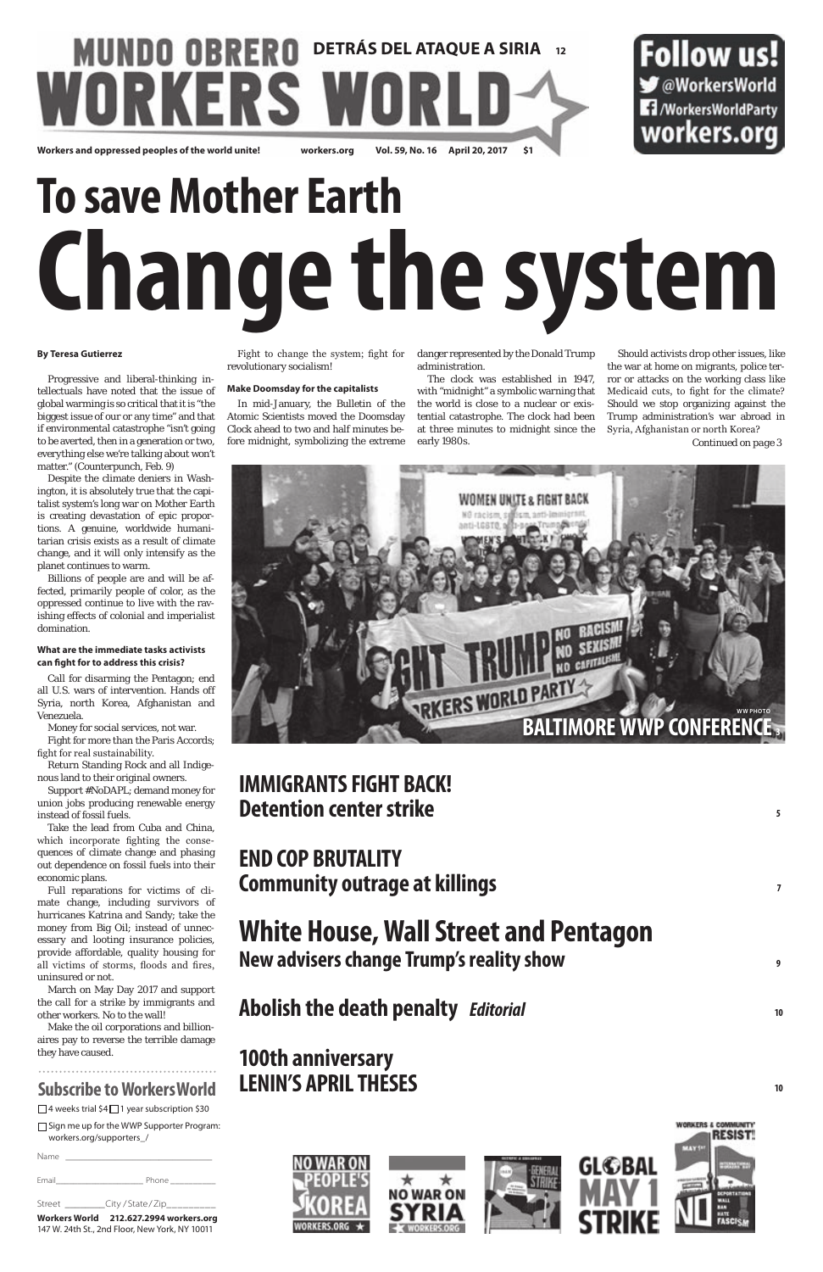*Continued on page 3*

### **MUNDO OBRERO DETRÁS DEL ATAQUE A SIRIA 12** WORI **Workers and oppressed peoples of the world unite! workers.org Vol. 59, No. 16 April 20, 2017 \$1**

### Follow us! **S** @WorkersWorld **A** /WorkersWorldParty workers.org

#### **By Teresa Gutierrez**

Progressive and liberal-thinking intellectuals have noted that the issue of global warming is so critical that it is "the biggest issue of our or any time" and that if environmental catastrophe "isn't going to be averted, then in a generation or two, everything else we're talking about won't matter." (Counterpunch, Feb. 9)

Despite the climate deniers in Washington, it is absolutely true that the capitalist system's long war on Mother Earth is creating devastation of epic proportions. A genuine, worldwide humanitarian crisis exists as a result of climate change, and it will only intensify as the planet continues to warm.

Billions of people are and will be affected, primarily people of color, as the oppressed continue to live with the ravishing effects of colonial and imperialist domination.

#### **What are the immediate tasks activists can fight for to address this crisis?**

### **IMMIGRANTS FIGHT BACK! Detention center strike**  $\frac{1}{5}$

Call for disarming the Pentagon; end all U.S. wars of intervention. Hands off Syria, north Korea, Afghanistan and Venezuela.

### **100th anniversary LENIN'S APRIL THESES** 10





Money for social services, not war. Fight for more than the Paris Accords; fight for real sustainability.

Return Standing Rock and all Indigenous land to their original owners.

Support #NoDAPL; demand money for union jobs producing renewable energy instead of fossil fuels.

Take the lead from Cuba and China, which incorporate fighting the consequences of climate change and phasing out dependence on fossil fuels into their economic plans.

□ Sign me up for the WWP Supporter Program: workers.org/supporters\_/

Full reparations for victims of climate change, including survivors of hurricanes Katrina and Sandy; take the money from Big Oil; instead of unnecessary and looting insurance policies, provide affordable, quality housing for all victims of storms, floods and fires, uninsured or not. March on May Day 2017 and support the call for a strike by immigrants and other workers. No to the wall! Make the oil corporations and billionaires pay to reverse the terrible damage they have caused.

**END COP BRUTALITY Community outrage at killings 7**

### **White House, Wall Street and Pentagon New advisers change Trump's reality show 9**

### **Abolish the death penalty** *Editorial* **10**

Fight to change the system; fight for revolutionary socialism!

**Make Doomsday for the capitalists**

In mid-January, the Bulletin of the Atomic Scientists moved the Doomsday Clock ahead to two and half minutes before midnight, symbolizing the extreme danger represented by the Donald Trump administration.

The clock was established in 1947, with "midnight" a symbolic warning that the world is close to a nuclear or existential catastrophe. The clock had been at three minutes to midnight since the early 1980s.

Should activists drop other issues, like the war at home on migrants, police terror or attacks on the working class like Medicaid cuts, to fight for the climate? Should we stop organizing against the Trump administration's war abroad in Syria, Afghanistan or north Korea?



**To save Mother Earth Change the system**

| Name |  |
|------|--|
|      |  |

Email **Email** Phone **Phone** 

Street \_\_\_\_\_\_\_\_\_\_\_City / State / Zip\_

**Workers World 212.627.2994 workers.org** 147 W. 24th St., 2nd Floor, New York, NY 10011

#### **Subscribe to Workers World**

 $\Box$  4 weeks trial \$4 $\Box$  1 year subscription \$30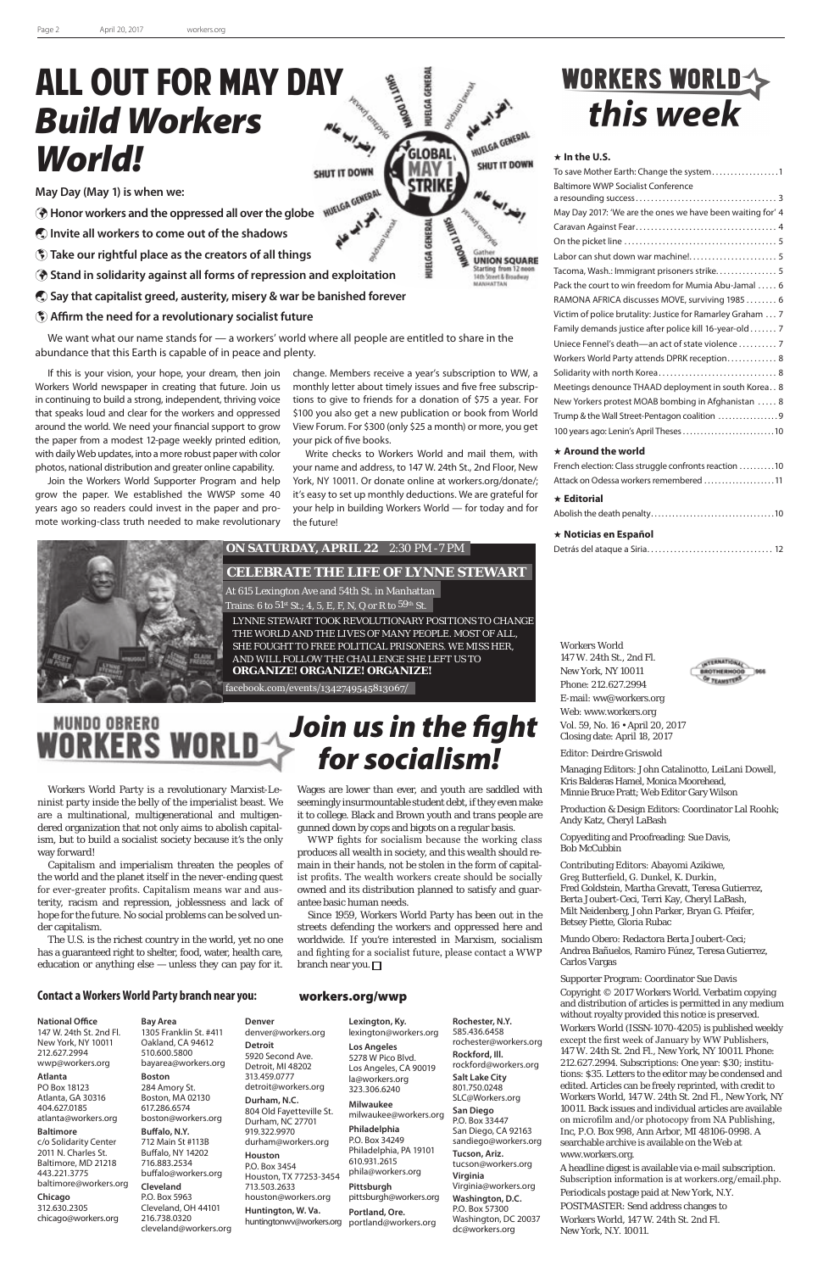#### **Contact a Workers World Party branch near you:** workers.org/wwp

#### **MUNDO OBRERO** *Join us in the fight*  ORKERS *for socialism!*

Workers World Party is a revolutionary Marxist-Leninist party inside the belly of the imperialist beast. We are a multinational, multigenerational and multigendered organization that not only aims to abolish capitalism, but to build a socialist society because it's the only way forward!

Capitalism and imperialism threaten the peoples of the world and the planet itself in the never-ending quest for ever-greater profits. Capitalism means war and austerity, racism and repression, joblessness and lack of hope for the future. No social problems can be solved under capitalism.

Since 1959, Workers World Party has been out in the streets defending the workers and oppressed here and worldwide. If you're interested in Marxism, socialism and fighting for a socialist future, please contact a WWP branch near you.  $\Box$ 

### **WORKERS WORLDS** this week

The U.S. is the richest country in the world, yet no one has a guaranteed right to shelter, food, water, health care, education or anything else — unless they can pay for it. Wages are lower than ever, and youth are saddled with seemingly insurmountable student debt, if they even make it to college. Black and Brown youth and trans people are gunned down by cops and bigots on a regular basis.

WWP fights for socialism because the working class produces all wealth in society, and this wealth should remain in their hands, not be stolen in the form of capitalist profits. The wealth workers create should be socially owned and its distribution planned to satisfy and guarantee basic human needs.

#### **National Office**

147 W. 24th St. 2nd Fl. New York, NY 10011 212.627.2994 wwp@workers.org

#### **Atlanta**

PO Box 18123 Atlanta, GA 30316 404.627.0185 atlanta@workers.org

#### **Baltimore**

c/o Solidarity Center 2011 N. Charles St. Baltimore, MD 21218 443.221.3775 baltimore@workers.org

#### **Chicago**

312.630.2305 chicago@workers.org

**Bay Area** 1305 Franklin St. #411 Oakland, CA 94612 510.600.5800 bayarea@workers.org

#### **Boston**

284 Amory St. Boston, MA 02130 617.286.6574 boston@workers.org **Buffalo, N.Y.** 712 Main St #113B Buffalo, NY 14202 716.883.2534 buffalo@workers.org **Cleveland** P.O. Box 5963 Cleveland, OH 44101 216.738.0320 cleveland@workers.org

**Denver**

denver@workers.org

**Detroit**

5920 Second Ave. Detroit, MI 48202 313.459.0777 detroit@workers.org **Durham, N.C.** 804 Old Fayetteville St. Durham, NC 27701 919.322.9970 durham@workers.org

**Houston** P.O. Box 3454

Houston, TX 77253-3454

713.503.2633 houston@workers.org **Lexington, Ky.** lexington@workers.org **Los Angeles** 5278 W Pico Blvd. Los Angeles, CA 90019 la@workers.org 323.306.6240

#### **Milwaukee**

**Huntington, W. Va.** huntingtonwv@workers.org **Portland, Ore.** portland@workers.org

milwaukee@workers.org

**Philadelphia** P.O. Box 34249 Philadelphia, PA 19101 610.931.2615 phila@workers.org

**Pittsburgh** pittsburgh@workers.org

**Rochester, N.Y.** 585.436.6458 rochester@workers.org **Rockford, Ill.** rockford@workers.org **Salt Lake City** 801.750.0248 SLC@Workers.org **San Diego** P.O. Box 33447 San Diego, CA 92163 sandiego@workers.org **Tucson, Ariz.** tucson@workers.org **Virginia**  Virginia@workers.org **Washington, D.C.** P.O. Box 57300

Washington, DC 20037 dc@workers.org

#### **In the U.S.**

**UNION SQUARE** Starting from 12 m 14th Str

eet & Broadway

| To save Mother Earth: Change the system1                   |
|------------------------------------------------------------|
| <b>Baltimore WWP Socialist Conference</b>                  |
|                                                            |
| May Day 2017: 'We are the ones we have been waiting for' 4 |
|                                                            |
|                                                            |
|                                                            |
| Tacoma, Wash.: Immigrant prisoners strike. 5               |
| Pack the court to win freedom for Mumia Abu-Jamal  6       |
| RAMONA AFRICA discusses MOVE, surviving 1985  6            |
| Victim of police brutality: Justice for Ramarley Graham  7 |
| Family demands justice after police kill 16-year-old 7     |
| Uniece Fennel's death-an act of state violence  7          |
| Workers World Party attends DPRK reception 8               |
|                                                            |
| Meetings denounce THAAD deployment in south Korea 8        |
| New Yorkers protest MOAB bombing in Afghanistan  8         |
| Trump & the Wall Street-Pentagon coalition 9               |
| 100 years ago: Lenin's April Theses 10                     |
|                                                            |

 At 615 Lexington Ave and 54th St. in Manhattan Trains:  $6$  to  $51^\text{st}$  St.;  $4$ ,  $5$ , E, F, N, Q or R to  $59^\text{th}$  St.  $^-$ 

#### **Around the world**

| $\star$ Noticias en Español                           |  |  |
|-------------------------------------------------------|--|--|
|                                                       |  |  |
| $\star$ Editorial                                     |  |  |
| Attack on Odessa workers remembered 11                |  |  |
| French election: Class struggle confronts reaction 10 |  |  |

Detrás del ataque a Siria . . 12

Workers World 147 W. 24th St., 2nd Fl. New York, NY 10011 Phone: 212.627.2994 E-mail: ww@workers.org Web: www.workers.org Vol. 59, No. 16 • April 20, 2017 Closing date: April 18, 2017

Editor: Deirdre Griswold

Managing Editors: John Catalinotto, LeiLani Dowell, Kris Balderas Hamel, Monica Moorehead, Minnie Bruce Pratt; Web Editor Gary Wilson

Production & Design Editors: Coordinator Lal Roohk; Andy Katz, Cheryl LaBash

Copyediting and Proofreading: Sue Davis, Bob McCubbin

Contributing Editors: Abayomi Azikiwe, Greg Butterfield, G. Dunkel, K. Durkin, Fred Goldstein, Martha Grevatt, Teresa Gutierrez, Berta Joubert-Ceci, Terri Kay, Cheryl LaBash, Milt Neidenberg, John Parker, Bryan G. Pfeifer, Betsey Piette, Gloria Rubac



Mundo Obero: Redactora Berta Joubert-Ceci; Andrea Bañuelos, Ramiro Fúnez, Teresa Gutierrez, Carlos Vargas

#### Supporter Program: Coordinator Sue Davis

Copyright © 2017 Workers World. Verbatim copying and distribution of articles is permitted in any medium without royalty provided this notice is preserved. Workers World (ISSN-1070-4205) is published weekly except the first week of January by WW Publishers, 147 W. 24th St. 2nd Fl., New York, NY 10011. Phone: 212.627.2994. Subscriptions: One year: \$30; institutions: \$35. Letters to the editor may be condensed and edited. Articles can be freely reprinted, with credit to Workers World, 147 W. 24th St. 2nd Fl., New York, NY 10011. Back issues and individual articles are available on microfilm and/or photocopy from NA Publishing, Inc, P.O. Box 998, Ann Arbor, MI 48106-0998. A searchable archive is available on the Web at www.workers.org.

A headline digest is available via e-mail subscription. Subscription information is at workers.org/email.php. Periodicals postage paid at New York, N.Y. POSTMASTER: Send address changes to Workers World, 147 W. 24th St. 2nd Fl. New York, N.Y. 10011.

If this is your vision, your hope, your dream, then join Workers World newspaper in creating that future. Join us in continuing to build a strong, independent, thriving voice that speaks loud and clear for the workers and oppressed around the world. We need your financial support to grow the paper from a modest 12-page weekly printed edition, with daily Web updates, into a more robust paper with color photos, national distribution and greater online capability.

Join the Workers World Supporter Program and help grow the paper. We established the WWSP some 40 years ago so readers could invest in the paper and promote working-class truth needed to make revolutionary

change. Members receive a year's subscription to WW, a monthly letter about timely issues and five free subscriptions to give to friends for a donation of \$75 a year. For \$100 you also get a new publication or book from World View Forum. For \$300 (only \$25 a month) or more, you get your pick of five books.

Write checks to Workers World and mail them, with your name and address, to 147 W. 24th St., 2nd Floor, New York, NY 10011. Or donate online at workers.org/donate/; it's easy to set up monthly deductions. We are grateful for your help in building Workers World — for today and for the future!



- **Take our rightful place as the creators of all things**
- **Stand in solidarity against all forms of repression and exploitation**
- **Say that capitalist greed, austerity, misery & war be banished forever**
- **Affirm the need for a revolutionary socialist future**

We want what our name stands for — a workers' world where all people are entitled to share in the abundance that this Earth is capable of in peace and plenty.

### **ON SATURDAY, APRIL 22** 2:30 PM -7 PM

#### ALL OUT FOR MAY DAY HUELGA GENERA **MATTIDOWN** *Build Workers*  HUELGA GENERAL *World!*OBAL **SHUT IT DOWN SHUT IT DOWN** STRIKE **May Day (May 1) is when we: Pilon All you Honor workers and the oppressed all over the globe** HUELGA GENERA **Invite all workers to come out of the shadows**

**CELEBRATE THE LIFE OF LYNNE STEWART**

LYNNE STEWART TOOK REVOLUTIONARY POSITIONS TO CHANGE THE WORLD AND THE LIVES OF MANY PEOPLE. MOST OF ALL, SHE FOUGHT TO FREE POLITICAL PRISONERS. WE MISS HER, AND WILL FOLLOW THE CHALLENGE SHE LEFT US TO *ORGANIZE! ORGANIZE! ORGANIZE!* 

facebook.com/events/1342749545813067/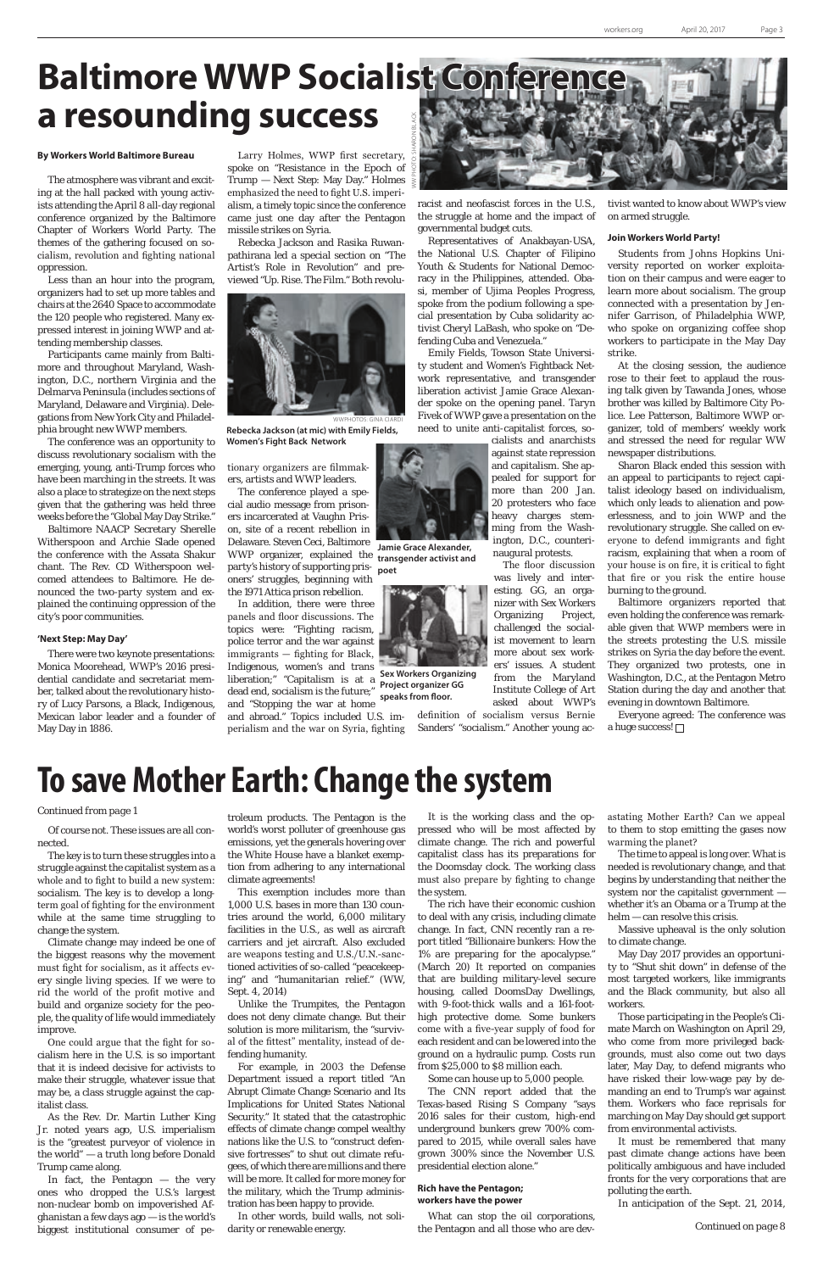#### **By Workers World Baltimore Bureau**

The atmosphere was vibrant and exciting at the hall packed with young activists attending the April 8 all-day regional conference organized by the Baltimore Chapter of Workers World Party. The themes of the gathering focused on socialism, revolution and fighting national oppression.

Less than an hour into the program, organizers had to set up more tables and chairs at the 2640 Space to accommodate the 120 people who registered. Many expressed interest in joining WWP and attending membership classes.

Participants came mainly from Baltimore and throughout Maryland, Washington, D.C., northern Virginia and the Delmarva Peninsula (includes sections of Maryland, Delaware and Virginia). Delegations from New York City and Philadelphia brought new WWP members.

The conference was an opportunity to discuss revolutionary socialism with the emerging, young, anti-Trump forces who have been marching in the streets. It was also a place to strategize on the next steps given that the gathering was held three weeks before the "Global May Day Strike."

Baltimore NAACP Secretary Sherelle Witherspoon and Archie Slade opened the conference with the Assata Shakur chant. The Rev. CD Witherspoon welcomed attendees to Baltimore. He denounced the two-party system and explained the continuing oppression of the city's poor communities.

#### **'Next Step: May Day'**

There were two keynote presentations: Monica Moorehead, WWP's 2016 presidential candidate and secretariat member, talked about the revolutionary history of Lucy Parsons, a Black, Indigenous, Mexican labor leader and a founder of May Day in 1886.

Larry Holmes, WWP first secretary, spoke on "Resistance in the Epoch of Trump — Next Step: May Day." Holmes emphasized the need to fight U.S. imperialism, a timely topic since the conference came just one day after the Pentagon missile strikes on Syria.

Rebecka Jackson and Rasika Ruwanpathirana led a special section on "The Artist's Role in Revolution" and previewed "Up. Rise. The Film." Both revolu-

tionary organizers are filmmakers, artists and WWP leaders.

The conference played a special audio message from prisoners incarcerated at Vaughn Prison, site of a recent rebellion in Delaware. Steven Ceci, Baltimore WWP organizer, explained the party's history of supporting prisoners' struggles, beginning with the 1971 Attica prison rebellion.

In addition, there were three panels and floor discussions. The topics were: "Fighting racism, police terror and the war against immigrants — fighting for Black, Indigenous, women's and trans liberation;" "Capitalism is at a dead end, socialism is the future;" and "Stopping the war at home

Everyone agreed: The conference was a huge success!  $\Box$ 

and abroad." Topics included U.S. imperialism and the war on Syria, fighting racist and neofascist forces in the U.S., the struggle at home and the impact of

governmental budget cuts.

Representatives of Anakbayan-USA, the National U.S. Chapter of Filipino Youth & Students for National Democracy in the Philippines, attended. Obasi, member of Ujima Peoples Progress, spoke from the podium following a special presentation by Cuba solidarity activist Cheryl LaBash, who spoke on "De-

fending Cuba and Venezuela."

Emily Fields, Towson State University student and Women's Fightback Network representative, and transgender liberation activist Jamie Grace Alexander spoke on the opening panel. Taryn Fivek of WWP gave a presentation on the need to unite anti-capitalist forces, so-

> cialists and anarchists against state repression and capitalism. She appealed for support for more than 200 Jan. 20 protesters who face heavy charges stemming from the Washington, D.C., counterinaugural protests. The floor discussion was lively and interesting. GG, an organizer with Sex Workers Organizing Project, challenged the socialist movement to learn more about sex workers' issues. A student from the Maryland Institute College of Art

asked about WWP's definition of socialism versus Bernie Sanders' "socialism." Another young activist wanted to know about WWP's view on armed struggle.

#### **Join Workers World Party!**

Students from Johns Hopkins University reported on worker exploitation on their campus and were eager to learn more about socialism. The group connected with a presentation by Jennifer Garrison, of Philadelphia WWP, who spoke on organizing coffee shop workers to participate in the May Day strike.

At the closing session, the audience rose to their feet to applaud the rousing talk given by Tawanda Jones, whose brother was killed by Baltimore City Police. Lee Patterson, Baltimore WWP organizer, told of members' weekly work and stressed the need for regular WW newspaper distributions.

Sharon Black ended this session with an appeal to participants to reject capitalist ideology based on individualism, which only leads to alienation and powerlessness, and to join WWP and the revolutionary struggle. She called on everyone to defend immigrants and fight racism, explaining that when a room of your house is on fire, it is critical to fight that fire or you risk the entire house burning to the ground.

Baltimore organizers reported that even holding the conference was remarkable given that WWP members were in the streets protesting the U.S. missile strikes on Syria the day before the event. They organized two protests, one in Washington, D.C., at the Pentagon Metro Station during the day and another that evening in downtown Baltimore.



**Rebecka Jackson (at mic) with Emily Fields, Women's Fight Back Network**



**Sex Workers Organizing Project organizer GG speaks from floor.**



**transgender activist and poet**

# WW PHOTO: SHARON BLACK **Baltimore WWP Socialist Conference a resounding success**

#### *Continued from page 1*

*Continued on page 8*

Of course not. These issues are all connected.

The key is to turn these struggles into a struggle against the capitalist system as a whole and to fight to build a new system: socialism. The key is to develop a longterm goal of fighting for the environment while at the same time struggling to change the system.

Climate change may indeed be one of the biggest reasons why the movement must fight for socialism, as it affects every single living species. If we were to rid the world of the profit motive and build and organize society for the people, the quality of life would immediately improve.

One could argue that the fight for socialism here in the U.S. is so important that it is indeed decisive for activists to make their struggle, whatever issue that may be, a class struggle against the capitalist class.

As the Rev. Dr. Martin Luther King Jr. noted years ago, U.S. imperialism is the "greatest purveyor of violence in the world" — a truth long before Donald Trump came along.

In fact, the Pentagon — the very ones who dropped the U.S.'s largest non-nuclear bomb on impoverished Afghanistan a few days ago — is the world's biggest institutional consumer of pe-

troleum products. The Pentagon is the world's worst polluter of greenhouse gas emissions, yet the generals hovering over the White House have a blanket exemption from adhering to any international climate agreements!

This exemption includes more than 1,000 U.S. bases in more than 130 countries around the world, 6,000 military facilities in the U.S., as well as aircraft carriers and jet aircraft. Also excluded are weapons testing and U.S./U.N.-sanctioned activities of so-called "peacekeeping" and "humanitarian relief." (WW, Sept. 4, 2014)

Unlike the Trumpites, the Pentagon does not deny climate change. But their solution is more militarism, the "survival of the fittest" mentality, instead of defending humanity.

For example, in 2003 the Defense Department issued a report titled "An Abrupt Climate Change Scenario and Its Implications for United States National Security." It stated that the catastrophic effects of climate change compel wealthy nations like the U.S. to "construct defensive fortresses" to shut out climate refugees, of which there are millions and there will be more. It called for more money for the military, which the Trump administration has been happy to provide.

In other words, build walls, not solidarity or renewable energy.

It is the working class and the oppressed who will be most affected by climate change. The rich and powerful capitalist class has its preparations for the Doomsday clock. The working class must also prepare by fighting to change the system.

The rich have their economic cushion to deal with any crisis, including climate change. In fact, CNN recently ran a report titled "Billionaire bunkers: How the 1% are preparing for the apocalypse." (March 20) It reported on companies that are building military-level secure housing, called DoomsDay Dwellings, with 9-foot-thick walls and a 161-foothigh protective dome. Some bunkers come with a five-year supply of food for each resident and can be lowered into the ground on a hydraulic pump. Costs run from \$25,000 to \$8 million each.

Some can house up to 5,000 people.

The CNN report added that the Texas-based Rising S Company "says 2016 sales for their custom, high-end underground bunkers grew 700% compared to 2015, while overall sales have grown 300% since the November U.S. presidential election alone."

#### **Rich have the Pentagon; workers have the power**

What can stop the oil corporations, the Pentagon and all those who are devastating Mother Earth? Can we appeal to them to stop emitting the gases now warming the planet?

The time to appeal is long over. What is needed is revolutionary change, and that begins by understanding that neither the system nor the capitalist government whether it's an Obama or a Trump at the helm — can resolve this crisis.

Massive upheaval is the only solution

to climate change.

May Day 2017 provides an opportunity to "Shut shit down" in defense of the most targeted workers, like immigrants and the Black community, but also all workers.

Those participating in the People's Climate March on Washington on April 29, who come from more privileged backgrounds, must also come out two days later, May Day, to defend migrants who have risked their low-wage pay by demanding an end to Trump's war against them. Workers who face reprisals for marching on May Day should get support from environmental activists.

It must be remembered that many past climate change actions have been politically ambiguous and have included fronts for the very corporations that are polluting the earth.

In anticipation of the Sept. 21, 2014,

### **To save Mother Earth: Change the system**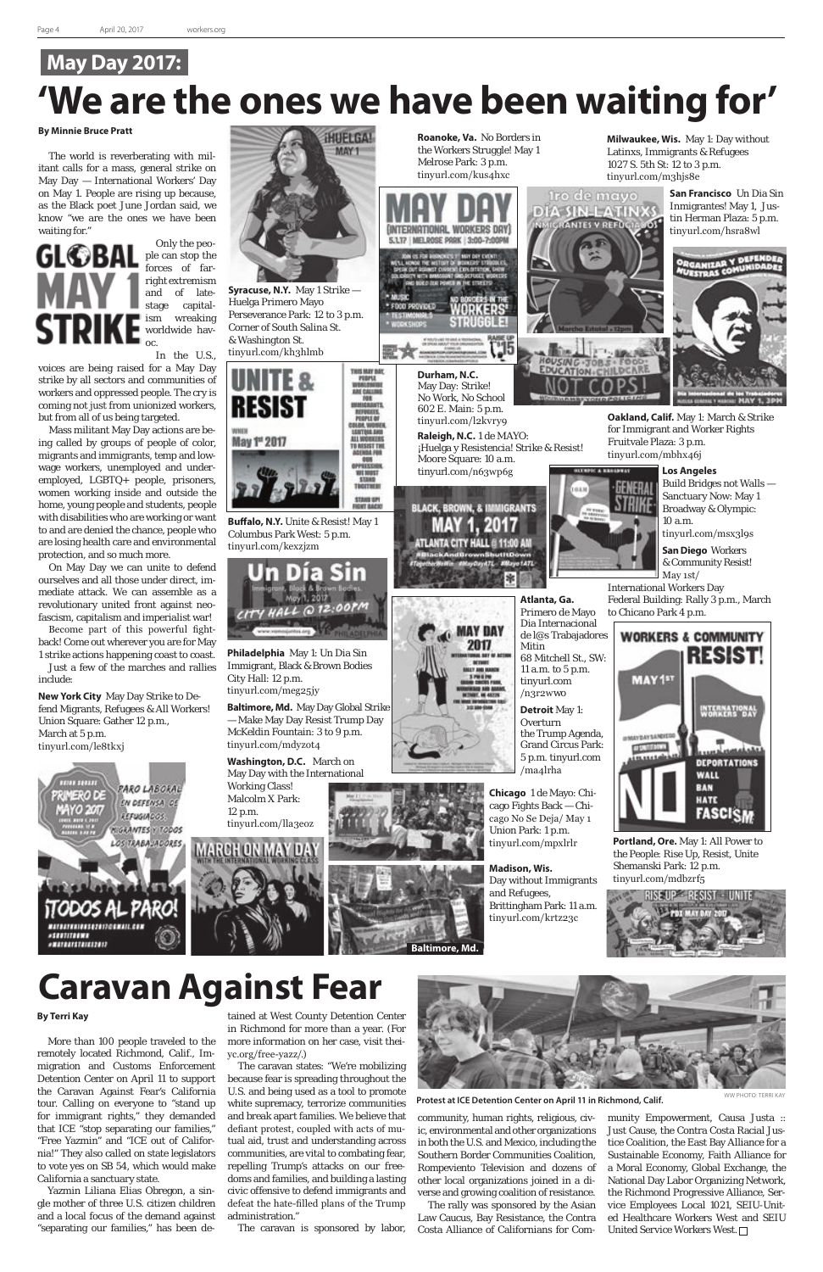## **May Day 2017: 'We are the ones we have been waiting for'**

## **Caravan Against Fear**

#### **By Terri Kay**

More than 100 people traveled to the remotely located Richmond, Calif., Immigration and Customs Enforcement Detention Center on April 11 to support the Caravan Against Fear's California tour. Calling on everyone to "stand up for immigrant rights," they demanded that ICE "stop separating our families," "Free Yazmin" and "ICE out of California!" They also called on state legislators to vote yes on SB 54, which would make California a sanctuary state.

Yazmin Liliana Elias Obregon, a single mother of three U.S. citizen children and a local focus of the demand against "separating our families," has been de-

tained at West County Detention Center in Richmond for more than a year. (For more information on her case, visit theiyc.org/free-yazz/.)

> munity Empowerment, Causa Justa :: Just Cause, the Contra Costa Racial Justice Coalition, the East Bay Alliance for a Sustainable Economy, Faith Alliance for a Moral Economy, Global Exchange, the National Day Labor Organizing Network, the Richmond Progressive Alliance, Service Employees Local 1021, SEIU-United Healthcare Workers West and SEIU United Service Workers West. □

The caravan states: "We're mobilizing because fear is spreading throughout the U.S. and being used as a tool to promote white supremacy, terrorize communities and break apart families. We believe that defiant protest, coupled with acts of mutual aid, trust and understanding across communities, are vital to combating fear, repelling Trump's attacks on our freedoms and families, and building a lasting civic offensive to defend immigrants and defeat the hate-filled plans of the Trump administration."

GL©BAL oc.

The caravan is sponsored by labor,



**Protest at ICE Detention Center on April 11 in Richmond, Calif. Protest at ICE Detention Center on April 11 in Richmond, Calif.** 

community, human rights, religious, civic, environmental and other organizations in both the U.S. and Mexico, including the Southern Border Communities Coalition, Rompeviento Television and dozens of other local organizations joined in a diverse and growing coalition of resistance.

The rally was sponsored by the Asian Law Caucus, Bay Resistance, the Contra Costa Alliance of Californians for Com-

**San Francisco** Un Dia Sin tro de mayo Inmigrantes! May 1, Jus-DIA SIN LATIN tin Herman Plaza: 5 p.m. **ANTES V REFUC** tinyurl.com/hsra8wl ANIZAP



#### **By Minnie Bruce Pratt**

The world is reverberating with militant calls for a mass, general strike on May Day — International Workers' Day on May 1. People are rising up because, as the Black poet June Jordan said, we know "we are the ones we have been waiting for."

Only the people can stop the forces of farright extremism and of latestage capitalism wreaking worldwide hav-

In the U.S.,

voices are being raised for a May Day strike by all sectors and communities of workers and oppressed people. The cry is coming not just from unionized workers, but from all of us being targeted.

Mass militant May Day actions are being called by groups of people of color, migrants and immigrants, temp and lowwage workers, unemployed and underemployed, LGBTQ+ people, prisoners, women working inside and outside the home, young people and students, people with disabilities who are working or want to and are denied the chance, people who are losing health care and environmental protection, and so much more.

On May Day we can unite to defend ourselves and all those under direct, immediate attack. We can assemble as a revolutionary united front against neofascism, capitalism and imperialist war!

Become part of this powerful fightback! Come out wherever you are for May 1 strike actions happening coast to coast.

Just a few of the marches and rallies include:

**New York City** May Day Strike to Defend Migrants, Refugees & All Workers! Union Square: Gather 12 p.m., March at 5 p.m. tinyurl.com/le8tkxj

11111 SIGLI *RARO LABORAL* **TRIMERO DE** EN DEFENSA DE **VAYO 2017 REFUGIACOS** *RIGRANTES Y TODOS* LOS TRABAJADORES





**Syracuse, N.Y.** May 1 Strike — Huelga Primero Mayo Perseverance Park: 12 to 3 p.m. Corner of South Salina St. & Washington St. tinyurl.com/kh3hlmb



**Roanoke, Va.** No Borders in the Workers Struggle! May 1 Melrose Park: 3 p.m. tinyurl.com/kus4hxc

(INTERNATIONAL WORKERS DAY) 5.1.17 | MELROSE PARK | 3:00-7:00PM

**Milwaukee, Wis.** May 1: Day without Latinxs, Immigrants & Refugees 1027 S. 5th St: 12 to 3 p.m. tinyurl.com/m3hjs8e

**Buffalo, N.Y.** Unite & Resist! May 1 Columbus Park West: 5 p.m. tinyurl.com/kexzjzm



**Philadelphia** May 1: Un Dia Sin Immigrant, Black & Brown Bodies City Hall: 12 p.m. tinyurl.com/meg25jy

**Baltimore, Md.** May Day Global Strike — Make May Day Resist Trump Day McKeldin Fountain: 3 to 9 p.m. tinyurl.com/mdyzot4

**Washington, D.C.** March on May Day with the International Working Class! Malcolm X Park:

12 p.m.

tinyurl.com/lla3eoz



**Durham, N.C.** May Day: Strike! No Work, No School 602 E. Main: 5 p.m. tinyurl.com/l2kvry9

**Raleigh, N.C.** 1 de MAYO: ¡Huelga y Resistencia! Strike & Resist! Moore Square: 10 a.m. tinyurl.com/n63wp6g

Q5)



**Chicago** 1 de Mayo: Chicago Fights Back — Chicago No Se Deja/ May 1 Union Park: 1 p.m. tinyurl.com/mpxlrlr

**Madison, Wis.** Day without Immigrants and Refugees, Brittingham Park: 11 a.m. tinyurl.com/krtz23c

**Oakland, Calif.** May 1: March & Strike for Immigrant and Worker Rights Fruitvale Plaza: 3 p.m. tinyurl.com/mbhx46j

> **Los Angeles** Build Bridges not Walls — Sanctuary Now: May 1 Broadway & Olympic: 10 a.m. tinyurl.com/msx3l9s

**San Diego** Workers & Community Resist! May 1st/

International Workers Day Federal Building: Rally 3 p.m., March to Chicano Park 4 p.m.



**Portland, Ore.** May 1: All Power to the People: Rise Up, Resist, Unite Shemanski Park: 12 p.m. tinyurl.com/mdbzrf5





Dia Internacional de l@s Trabajadores



Mitin 68 Mitchell St., SW: 11 a.m. to 5 p.m. tinyurl.com /n3r2wwo **Detroit** May 1: **Overturn** the Trump Agenda, Grand Circus Park: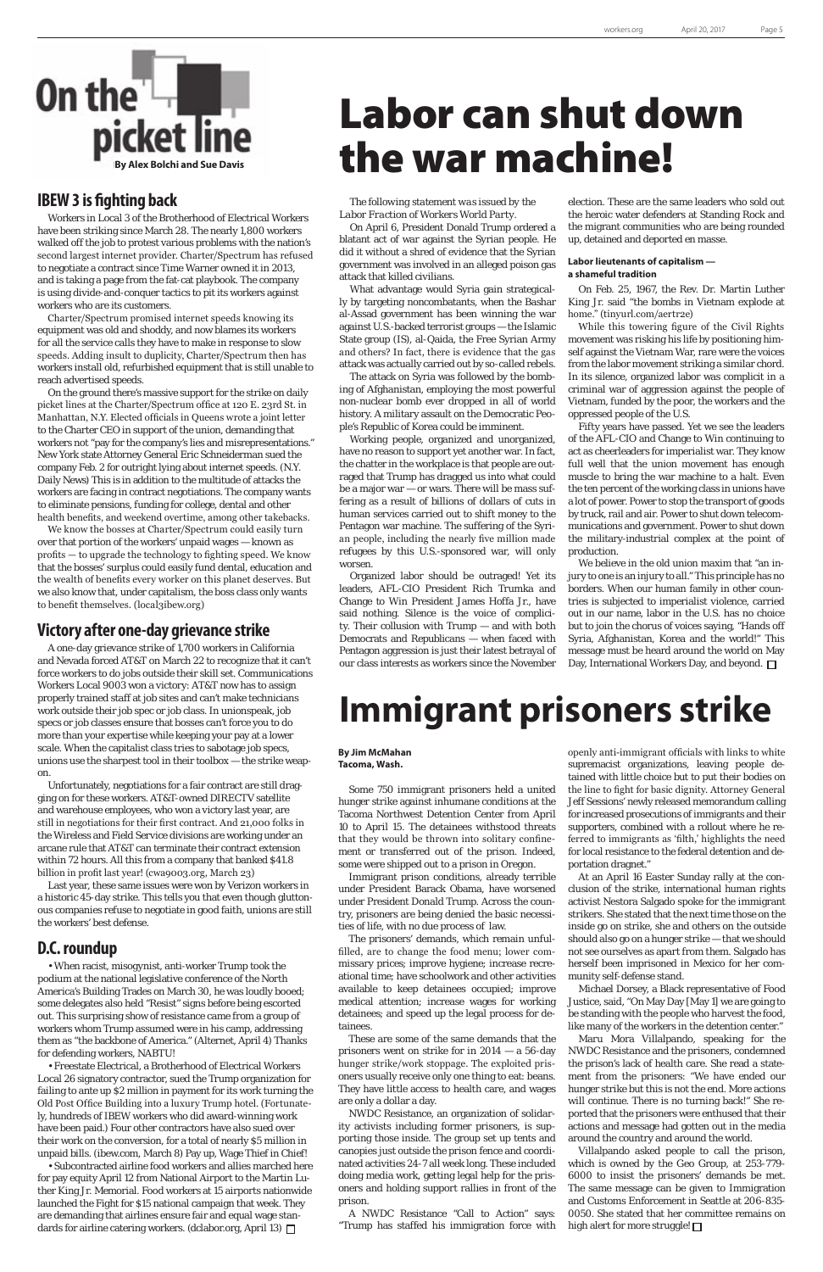## **Immigrant prisoners strike**

**By Jim McMahan Tacoma, Wash.**

Some 750 immigrant prisoners held a united hunger strike against inhumane conditions at the Tacoma Northwest Detention Center from April 10 to April 15. The detainees withstood threats that they would be thrown into solitary confinement or transferred out of the prison. Indeed, some were shipped out to a prison in Oregon.

Immigrant prison conditions, already terrible under President Barack Obama, have worsened under President Donald Trump. Across the country, prisoners are being denied the basic necessities of life, with no due process of law.

The prisoners' demands, which remain unfulfilled, are to change the food menu; lower commissary prices; improve hygiene; increase recreational time; have schoolwork and other activities available to keep detainees occupied; improve medical attention; increase wages for working detainees; and speed up the legal process for detainees.

At an April 16 Easter Sunday rally at the conclusion of the strike, international human rights activist Nestora Salgado spoke for the immigrant strikers. She stated that the next time those on the inside go on strike, she and others on the outside should also go on a hunger strike — that we should not see ourselves as apart from them. Salgado has herself been imprisoned in Mexico for her community self-defense stand. Michael Dorsey, a Black representative of Food Justice, said, "On May Day [May 1] we are going to be standing with the people who harvest the food, like many of the workers in the detention center." Maru Mora Villalpando, speaking for the NWDC Resistance and the prisoners, condemned the prison's lack of health care. She read a statement from the prisoners: "We have ended our hunger strike but this is not the end. More actions will continue. There is no turning back!" She reported that the prisoners were enthused that their actions and message had gotten out in the media around the country and around the world. Villalpando asked people to call the prison, which is owned by the Geo Group, at 253-779- 6000 to insist the prisoners' demands be met. The same message can be given to Immigration and Customs Enforcement in Seattle at 206-835- 0050. She stated that her committee remains on high alert for more struggle!  $\Box$ 

These are some of the same demands that the prisoners went on strike for in 2014 — a 56-day hunger strike/work stoppage. The exploited prisoners usually receive only one thing to eat: beans. They have little access to health care, and wages are only a dollar a day.

NWDC Resistance, an organization of solidarity activists including former prisoners, is supporting those inside. The group set up tents and canopies just outside the prison fence and coordinated activities 24-7 all week long. These included doing media work, getting legal help for the prisoners and holding support rallies in front of the prison.

A NWDC Resistance "Call to Action" says: "Trump has staffed his immigration force with openly anti-immigrant officials with links to white supremacist organizations, leaving people detained with little choice but to put their bodies on the line to fight for basic dignity. Attorney General Jeff Sessions' newly released memorandum calling for increased prosecutions of immigrants and their supporters, combined with a rollout where he referred to immigrants as 'filth,' highlights the need for local resistance to the federal detention and deportation dragnet."

# Labor can shut down the war machine!

#### **IBEW 3 is fighting back**

Workers in Local 3 of the Brotherhood of Electrical Workers have been striking since March 28. The nearly 1,800 workers walked off the job to protest various problems with the nation's second largest internet provider. Charter/Spectrum has refused to negotiate a contract since Time Warner owned it in 2013, and is taking a page from the fat-cat playbook. The company is using divide-and-conquer tactics to pit its workers against workers who are its customers.

• Subcontracted airline food workers and allies marched here for pay equity April 12 from National Airport to the Martin Luther King Jr. Memorial. Food workers at 15 airports nationwide launched the Fight for \$15 national campaign that week. They are demanding that airlines ensure fair and equal wage standards for airline catering workers. (dclabor.org, April 13)  $\Box$ 

Charter/Spectrum promised internet speeds knowing its equipment was old and shoddy, and now blames its workers for all the service calls they have to make in response to slow speeds. Adding insult to duplicity, Charter/Spectrum then has workers install old, refurbished equipment that is still unable to reach advertised speeds.

On the ground there's massive support for the strike on daily picket lines at the Charter/Spectrum office at 120 E. 23rd St. in Manhattan, N.Y. Elected officials in Queens wrote a joint letter to the Charter CEO in support of the union, demanding that workers not "pay for the company's lies and misrepresentations." New York state Attorney General Eric Schneiderman sued the company Feb. 2 for outright lying about internet speeds. (N.Y. Daily News) This is in addition to the multitude of attacks the workers are facing in contract negotiations. The company wants to eliminate pensions, funding for college, dental and other health benefits, and weekend overtime, among other takebacks.

We know the bosses at Charter/Spectrum could easily turn over that portion of the workers' unpaid wages — known as profits — to upgrade the technology to fighting speed. We know that the bosses' surplus could easily fund dental, education and the wealth of benefits every worker on this planet deserves. But we also know that, under capitalism, the boss class only wants to benefit themselves. (local3ibew.org)

#### **Victory after one-day grievance strike**

We believe in the old union maxim that "an injury to one is an injury to all." This principle has no borders. When our human family in other countries is subjected to imperialist violence, carried out in our name, labor in the U.S. has no choice but to join the chorus of voices saying, "Hands off Syria, Afghanistan, Korea and the world!" This message must be heard around the world on May Day, International Workers Day, and beyond. □

A one-day grievance strike of 1,700 workers in California and Nevada forced AT&T on March 22 to recognize that it can't force workers to do jobs outside their skill set. Communications Workers Local 9003 won a victory: AT&T now has to assign properly trained staff at job sites and can't make technicians work outside their job spec or job class. In unionspeak, job specs or job classes ensure that bosses can't force you to do more than your expertise while keeping your pay at a lower scale. When the capitalist class tries to sabotage job specs, unions use the sharpest tool in their toolbox — the strike weapon.

Unfortunately, negotiations for a fair contract are still dragging on for these workers. AT&T-owned DIRECTV satellite and warehouse employees, who won a victory last year, are still in negotiations for their first contract. And 21,000 folks in the Wireless and Field Service divisions are working under an arcane rule that AT&T can terminate their contract extension within 72 hours. All this from a company that banked \$41.8 billion in profit last year! (cwa9003.org, March 23)

Last year, these same issues were won by Verizon workers in a historic 45-day strike. This tells you that even though gluttonous companies refuse to negotiate in good faith, unions are still the workers' best defense.

#### **D.C. roundup**

• When racist, misogynist, anti-worker Trump took the podium at the national legislative conference of the North America's Building Trades on March 30, he was loudly booed; some delegates also held "Resist" signs before being escorted out. This surprising show of resistance came from a group of workers whom Trump assumed were in his camp, addressing them as "the backbone of America." (Alternet, April 4) Thanks for defending workers, NABTU!

• Freestate Electrical, a Brotherhood of Electrical Workers Local 26 signatory contractor, sued the Trump organization for failing to ante up \$2 million in payment for its work turning the Old Post Office Building into a luxury Trump hotel. (Fortunately, hundreds of IBEW workers who did award-winning work have been paid.) Four other contractors have also sued over their work on the conversion, for a total of nearly \$5 million in unpaid bills. (ibew.com, March 8) Pay up, Wage Thief in Chief!



*The following statement was issued by the Labor Fraction of Workers World Party.*

On April 6, President Donald Trump ordered a blatant act of war against the Syrian people. He did it without a shred of evidence that the Syrian government was involved in an alleged poison gas attack that killed civilians.

What advantage would Syria gain strategically by targeting noncombatants, when the Bashar al-Assad government has been winning the war against U.S.-backed terrorist groups — the Islamic State group (IS), al-Qaida, the Free Syrian Army and others? In fact, there is evidence that the gas attack was actually carried out by so-called rebels.

The attack on Syria was followed by the bombing of Afghanistan, employing the most powerful non-nuclear bomb ever dropped in all of world history. A military assault on the Democratic People's Republic of Korea could be imminent.

Working people, organized and unorganized, have no reason to support yet another war. In fact, the chatter in the workplace is that people are outraged that Trump has dragged us into what could be a major war  $-$  or wars. There will be mass suffering as a result of billions of dollars of cuts in human services carried out to shift money to the Pentagon war machine. The suffering of the Syrian people, including the nearly five million made refugees by this U.S.-sponsored war, will only worsen.

Organized labor should be outraged! Yet its leaders, AFL-CIO President Rich Trumka and Change to Win President James Hoffa Jr., have said nothing. Silence is the voice of complicity. Their collusion with Trump — and with both Democrats and Republicans — when faced with Pentagon aggression is just their latest betrayal of our class interests as workers since the November election. These are the same leaders who sold out the heroic water defenders at Standing Rock and the migrant communities who are being rounded up, detained and deported en masse.

#### **Labor lieutenants of capitalism a shameful tradition**

On Feb. 25, 1967, the Rev. Dr. Martin Luther King Jr. said "the bombs in Vietnam explode at home." (tinyurl.com/aertr2e)

While this towering figure of the Civil Rights movement was risking his life by positioning himself against the Vietnam War, rare were the voices from the labor movement striking a similar chord. In its silence, organized labor was complicit in a criminal war of aggression against the people of Vietnam, funded by the poor, the workers and the oppressed people of the U.S.

Fifty years have passed. Yet we see the leaders of the AFL-CIO and Change to Win continuing to act as cheerleaders for imperialist war. They know full well that the union movement has enough muscle to bring the war machine to a halt. Even the ten percent of the working class in unions have a lot of power. Power to stop the transport of goods by truck, rail and air. Power to shut down telecommunications and government. Power to shut down the military-industrial complex at the point of production.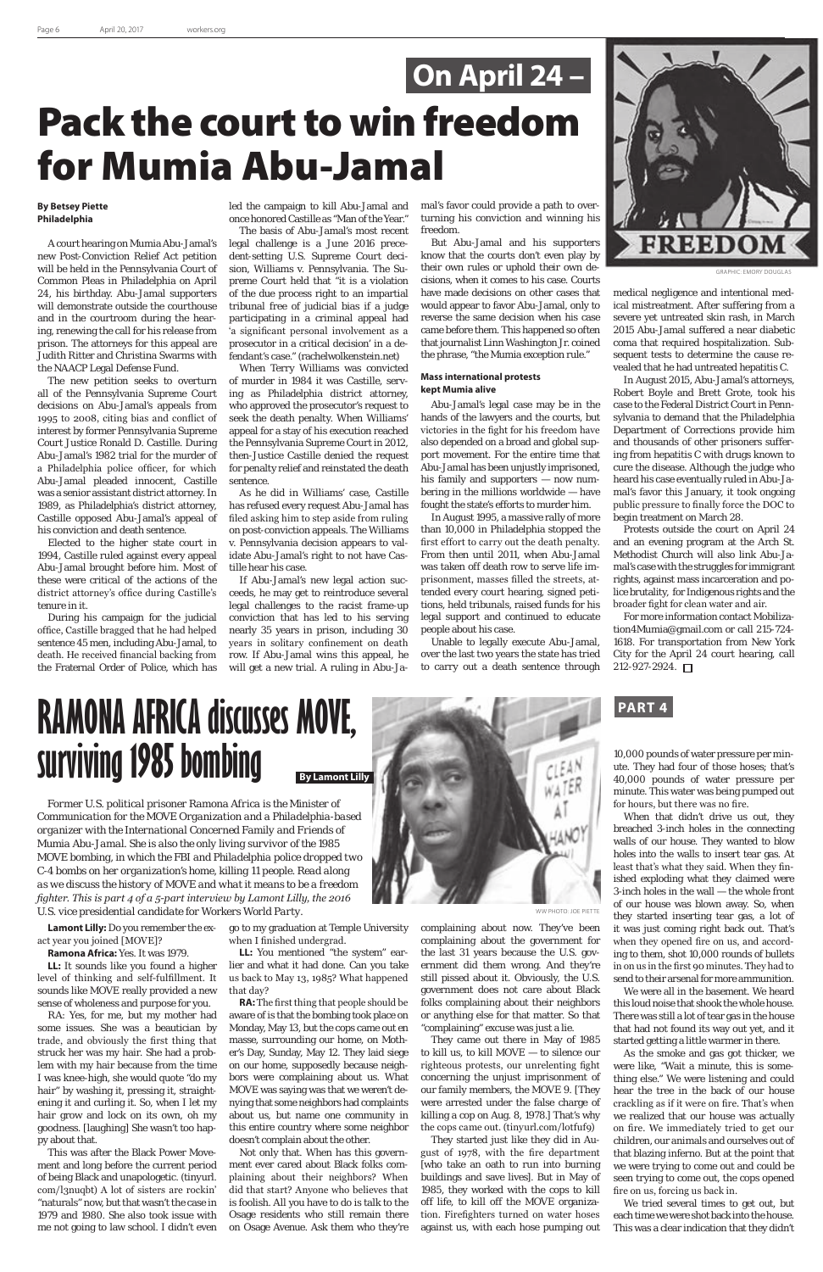# **On April 24 –** Pack the court to win freedom for Mumia Abu-Jamal

act year you joined [MOVE]?

#### **Ramona Africa:** Yes. It was 1979.

**LL:** It sounds like you found a higher level of thinking and self-fulfillment. It sounds like MOVE really provided a new sense of wholeness and purpose for you.

RA: Yes, for me, but my mother had some issues. She was a beautician by trade, and obviously the first thing that struck her was my hair. She had a problem with my hair because from the time I was knee-high, she would quote "do my hair" by washing it, pressing it, straightening it and curling it. So, when I let my hair grow and lock on its own, oh my goodness. [laughing] She wasn't too happy about that.

This was after the Black Power Movement and long before the current period of being Black and unapologetic. (tinyurl. com/l3nuqbt) A lot of sisters are rockin' "naturals" now, but that wasn't the case in 1979 and 1980. She also took issue with me not going to law school. I didn't even when I finished undergrad.

**LL:** You mentioned "the system" earlier and what it had done. Can you take us back to May 13, 1985? What happened that day?

**RA:** The first thing that people should be aware of is that the bombing took place on Monday, May 13, but the cops came out en masse, surrounding our home, on Mother's Day, Sunday, May 12. They laid siege on our home, supposedly because neighbors were complaining about us. What MOVE was saying was that we weren't denying that some neighbors had complaints about us, but name one community in this entire country where some neighbor doesn't complain about the other.

Not only that. When has this government ever cared about Black folks complaining about their neighbors? When did that start? Anyone who believes that is foolish. All you have to do is talk to the Osage residents who still remain there on Osage Avenue. Ask them who they're

complaining about the government for the last 31 years because the U.S. government did them wrong. And they're still pissed about it. Obviously, the U.S. government does not care about Black folks complaining about their neighbors or anything else for that matter. So that "complaining" excuse was just a lie.

They came out there in May of 1985 to kill us, to kill MOVE — to silence our righteous protests, our unrelenting fight concerning the unjust imprisonment of our family members, the MOVE 9. [They were arrested under the false charge of killing a cop on Aug. 8, 1978.] That's why the cops came out. (tinyurl.com/lotfuf9)

They started just like they did in August of 1978, with the fire department [who take an oath to run into burning buildings and save lives]. But in May of 1985, they worked with the cops to kill off life, to kill off the MOVE organization. Firefighters turned on water hoses against us, with each hose pumping out

10,000 pounds of water pressure per minute. They had four of those hoses; that's 40,000 pounds of water pressure per minute. This water was being pumped out for hours, but there was no fire.

When that didn't drive us out, they breached 3-inch holes in the connecting walls of our house. They wanted to blow holes into the walls to insert tear gas. At least that's what they said. When they finished exploding what they claimed were 3-inch holes in the wall — the whole front of our house was blown away. So, when they started inserting tear gas, a lot of it was just coming right back out. That's when they opened fire on us, and according to them, shot 10,000 rounds of bullets in on us in the first 90 minutes. They had to send to their arsenal for more ammunition. We were all in the basement. We heard this loud noise that shook the whole house. There was still a lot of tear gas in the house that had not found its way out yet, and it started getting a little warmer in there. As the smoke and gas got thicker, we were like, "Wait a minute, this is something else." We were listening and could hear the tree in the back of our house crackling as if it were on fire. That's when we realized that our house was actually on fire. We immediately tried to get our children, our animals and ourselves out of that blazing inferno. But at the point that we were trying to come out and could be seen trying to come out, the cops opened fire on us, forcing us back in. We tried several times to get out, but each time we were shot back into the house. This was a clear indication that they didn't

**By Betsey Piette Philadelphia**

A court hearing on Mumia Abu-Jamal's new Post-Conviction Relief Act petition will be held in the Pennsylvania Court of Common Pleas in Philadelphia on April 24, his birthday. Abu-Jamal supporters will demonstrate outside the courthouse and in the courtroom during the hearing, renewing the call for his release from prison. The attorneys for this appeal are Judith Ritter and Christina Swarms with the NAACP Legal Defense Fund.

> For more information contact Mobilization4Mumia@gmail.com or call 215-724- 1618. For transportation from New York City for the April 24 court hearing, call  $212-927-2924.$

The new petition seeks to overturn all of the Pennsylvania Supreme Court decisions on Abu-Jamal's appeals from 1995 to 2008, citing bias and conflict of interest by former Pennsylvania Supreme Court Justice Ronald D. Castille. During Abu-Jamal's 1982 trial for the murder of a Philadelphia police officer, for which Abu-Jamal pleaded innocent, Castille was a senior assistant district attorney. In 1989, as Philadelphia's district attorney, Castille opposed Abu-Jamal's appeal of his conviction and death sentence.

### **RAMONA AFRICA discusses MOVE, surviving 1985 bombing By Lamont Lilly**

Elected to the higher state court in 1994, Castille ruled against every appeal Abu-Jamal brought before him. Most of these were critical of the actions of the district attorney's office during Castille's tenure in it.

During his campaign for the judicial office, Castille bragged that he had helped sentence 45 men, including Abu-Jamal, to death. He received financial backing from the Fraternal Order of Police, which has

led the campaign to kill Abu-Jamal and once honored Castille as "Man of the Year."

The basis of Abu-Jamal's most recent legal challenge is a June 2016 precedent-setting U.S. Supreme Court decision, Williams v. Pennsylvania. The Supreme Court held that "it is a violation of the due process right to an impartial tribunal free of judicial bias if a judge participating in a criminal appeal had 'a significant personal involvement as a prosecutor in a critical decision' in a defendant's case." (rachelwolkenstein.net)

When Terry Williams was convicted of murder in 1984 it was Castille, serving as Philadelphia district attorney, who approved the prosecutor's request to seek the death penalty. When Williams' appeal for a stay of his execution reached the Pennsylvania Supreme Court in 2012, then-Justice Castille denied the request for penalty relief and reinstated the death sentence.

As he did in Williams' case, Castille has refused every request Abu-Jamal has filed asking him to step aside from ruling on post-conviction appeals. The Williams v. Pennsylvania decision appears to validate Abu-Jamal's right to not have Castille hear his case.

If Abu-Jamal's new legal action succeeds, he may get to reintroduce several legal challenges to the racist frame-up conviction that has led to his serving nearly 35 years in prison, including 30 years in solitary confinement on death row. If Abu-Jamal wins this appeal, he will get a new trial. A ruling in Abu-Jamal's favor could provide a path to overturning his conviction and winning his freedom.

But Abu-Jamal and his supporters know that the courts don't even play by their own rules or uphold their own decisions, when it comes to his case. Courts have made decisions on other cases that would appear to favor Abu-Jamal, only to reverse the same decision when his case came before them. This happened so often that journalist Linn Washington Jr. coined the phrase, "the Mumia exception rule."

#### **Mass international protests kept Mumia alive**

Abu-Jamal's legal case may be in the hands of the lawyers and the courts, but victories in the fight for his freedom have also depended on a broad and global support movement. For the entire time that Abu-Jamal has been unjustly imprisoned, his family and supporters — now numbering in the millions worldwide — have fought the state's efforts to murder him.

In August 1995, a massive rally of more than 10,000 in Philadelphia stopped the first effort to carry out the death penalty. From then until 2011, when Abu-Jamal was taken off death row to serve life imprisonment, masses filled the streets, attended every court hearing, signed petitions, held tribunals, raised funds for his legal support and continued to educate people about his case.

Unable to legally execute Abu-Jamal, over the last two years the state has tried to carry out a death sentence through



medical negligence and intentional medical mistreatment. After suffering from a severe yet untreated skin rash, in March 2015 Abu-Jamal suffered a near diabetic coma that required hospitalization. Subsequent tests to determine the cause revealed that he had untreated hepatitis C.

In August 2015, Abu-Jamal's attorneys, Robert Boyle and Brett Grote, took his case to the Federal District Court in Pennsylvania to demand that the Philadelphia Department of Corrections provide him and thousands of other prisoners suffering from hepatitis C with drugs known to cure the disease. Although the judge who heard his case eventually ruled in Abu-Jamal's favor this January, it took ongoing public pressure to finally force the DOC to begin treatment on March 28.

Protests outside the court on April 24 and an evening program at the Arch St. Methodist Church will also link Abu-Jamal's case with the struggles for immigrant rights, against mass incarceration and police brutality, for Indigenous rights and the broader fight for clean water and air.

 **PART 4**

*Former U.S. political prisoner Ramona Africa is the Minister of Communication for the MOVE Organization and a Philadelphia-based organizer with the International Concerned Family and Friends of Mumia Abu-Jamal. She is also the only living survivor of the 1985 MOVE bombing, in which the FBI and Philadelphia police dropped two C-4 bombs on her organization's home, killing 11 people. Read along as we discuss the history of MOVE and what it means to be a freedom fighter. This is part 4 of a 5-part interview by Lamont Lilly, the 2016 U.S. vice presidential candidate for Workers World Party.*

Lamont Lilly: Do you remember the ex- go to my graduation at Temple University complaining about now. They've been



GRAPHIC: EMORY DOUGLAS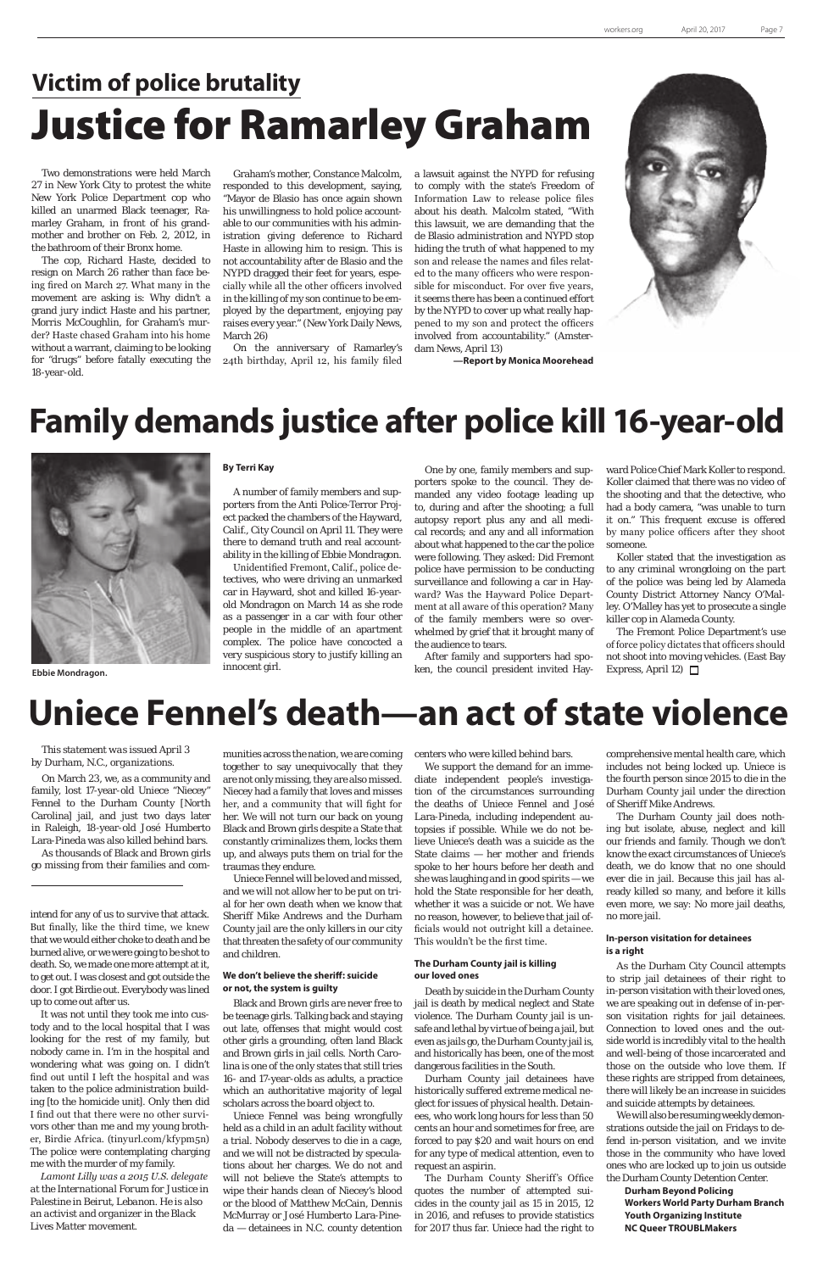intend for any of us to survive that attack. But finally, like the third time, we knew that we would either choke to death and be burned alive, or we were going to be shot to death. So, we made one more attempt at it, to get out. I was closest and got outside the door. I got Birdie out. Everybody was lined up to come out after us. It was not until they took me into custody and to the local hospital that I was looking for the rest of my family, but nobody came in. I'm in the hospital and wondering what was going on. I didn't find out until I left the hospital and was taken to the police administration building [to the homicide unit]. Only then did I find out that there were no other survivors other than me and my young brother, Birdie Africa. (tinyurl.com/kfypm5n) The police were contemplating charging me with the murder of my family. *Lamont Lilly was a 2015 U.S. delegate at the International Forum for Justice in Palestine in Beirut, Lebanon. He is also an activist and organizer in the Black Lives Matter movement.*

# **Victim of police brutality** Justice for Ramarley Graham

## **Family demands justice after police kill 16-year-old**

## **Uniece Fennel's death—an act of state violence**

#### **By Terri Kay**

A number of family members and supporters from the Anti Police-Terror Project packed the chambers of the Hayward, Calif., City Council on April 11. They were there to demand truth and real accountability in the killing of Ebbie Mondragon.

Unidentified Fremont, Calif., police detectives, who were driving an unmarked car in Hayward, shot and killed 16-yearold Mondragon on March 14 as she rode as a passenger in a car with four other people in the middle of an apartment complex. The police have concocted a very suspicious story to justify killing an innocent girl.

*This statement was issued April 3 by Durham, N.C., organizations.*

On March 23, we, as a community and family, lost 17-year-old Uniece "Niecey" Fennel to the Durham County [North Carolina] jail, and just two days later in Raleigh, 18-year-old José Humberto Lara-Pineda was also killed behind bars.

As thousands of Black and Brown girls go missing from their families and com-

Two demonstrations were held March 27 in New York City to protest the white New York Police Department cop who killed an unarmed Black teenager, Ramarley Graham, in front of his grandmother and brother on Feb. 2, 2012, in the bathroom of their Bronx home.

> The Fremont Police Department's use of force policy dictates that officers should not shoot into moving vehicles. (East Bay Express, April 12)  $\Box$

The cop, Richard Haste, decided to resign on March 26 rather than face being fired on March 27. What many in the movement are asking is: Why didn't a grand jury indict Haste and his partner, Morris McCoughlin, for Graham's murder? Haste chased Graham into his home without a warrant, claiming to be looking for "drugs" before fatally executing the 18-year-old.

Graham's mother, Constance Malcolm, responded to this development, saying, "Mayor de Blasio has once again shown his unwillingness to hold police accountable to our communities with his administration giving deference to Richard Haste in allowing him to resign. This is not accountability after de Blasio and the NYPD dragged their feet for years, especially while all the other officers involved in the killing of my son continue to be employed by the department, enjoying pay raises every year." (New York Daily News, March 26)

On the anniversary of Ramarley's 24th birthday, April 12, his family filed

a lawsuit against the NYPD for refusing to comply with the state's Freedom of Information Law to release police files about his death. Malcolm stated, "With this lawsuit, we are demanding that the de Blasio administration and NYPD stop hiding the truth of what happened to my son and release the names and files related to the many officers who were responsible for misconduct. For over five years, it seems there has been a continued effort by the NYPD to cover up what really happened to my son and protect the officers involved from accountability." (Amsterdam News, April 13)

**—Report by Monica Moorehead**



One by one, family members and supporters spoke to the council. They demanded any video footage leading up to, during and after the shooting; a full autopsy report plus any and all medical records; and any and all information about what happened to the car the police were following. They asked: Did Fremont police have permission to be conducting surveillance and following a car in Hayward? Was the Hayward Police Department at all aware of this operation? Many of the family members were so overwhelmed by grief that it brought many of the audience to tears.

After family and supporters had spoken, the council president invited Hayward Police Chief Mark Koller to respond. Koller claimed that there was no video of the shooting and that the detective, who had a body camera, "was unable to turn it on." This frequent excuse is offered by many police officers after they shoot someone.

Koller stated that the investigation as to any criminal wrongdoing on the part of the police was being led by Alameda County District Attorney Nancy O'Malley. O'Malley has yet to prosecute a single killer cop in Alameda County.

centers who were killed behind bars.

We support the demand for an immediate independent people's investigation of the circumstances surrounding the deaths of Uniece Fennel and José Lara-Pineda, including independent autopsies if possible. While we do not believe Uniece's death was a suicide as the State claims — her mother and friends spoke to her hours before her death and she was laughing and in good spirits — we hold the State responsible for her death, whether it was a suicide or not. We have no reason, however, to believe that jail officials would not outright kill a detainee.

This wouldn't be the first time.

#### **The Durham County jail is killing our loved ones**

Death by suicide in the Durham County jail is death by medical neglect and State violence. The Durham County jail is unsafe and lethal by virtue of being a jail, but even as jails go, the Durham County jail is, and historically has been, one of the most dangerous facilities in the South.

Durham County jail detainees have historically suffered extreme medical neglect for issues of physical health. Detainees, who work long hours for less than 50 cents an hour and sometimes for free, are forced to pay \$20 and wait hours on end for any type of medical attention, even to request an aspirin.

The Durham County Sheriff's Office quotes the number of attempted suicides in the county jail as 15 in 2015, 12 in 2016, and refuses to provide statistics for 2017 thus far. Uniece had the right to

comprehensive mental health care, which includes not being locked up. Uniece is the fourth person since 2015 to die in the Durham County jail under the direction of Sheriff Mike Andrews.

The Durham County jail does nothing but isolate, abuse, neglect and kill our friends and family. Though we don't know the exact circumstances of Uniece's death, we do know that no one should ever die in jail. Because this jail has already killed so many, and before it kills even more, we say: No more jail deaths, no more jail.

#### **In-person visitation for detainees is a right**

As the Durham City Council attempts to strip jail detainees of their right to in-person visitation with their loved ones, we are speaking out in defense of in-person visitation rights for jail detainees. Connection to loved ones and the outside world is incredibly vital to the health and well-being of those incarcerated and those on the outside who love them. If these rights are stripped from detainees, there will likely be an increase in suicides and suicide attempts by detainees.

We will also be resuming weekly demonstrations outside the jail on Fridays to defend in-person visitation, and we invite those in the community who have loved ones who are locked up to join us outside the Durham County Detention Center.

**Durham Beyond Policing Workers World Party Durham Branch Youth Organizing Institute NC Queer TROUBLMakers**

munities across the nation, we are coming together to say unequivocally that they are not only missing, they are also missed. Niecey had a family that loves and misses her, and a community that will fight for her. We will not turn our back on young Black and Brown girls despite a State that constantly criminalizes them, locks them up, and always puts them on trial for the traumas they endure.

Uniece Fennel will be loved and missed, and we will not allow her to be put on trial for her own death when we know that Sheriff Mike Andrews and the Durham County jail are the only killers in our city

that threaten the safety of our community and children.

#### **We don't believe the sheriff: suicide or not, the system is guilty**

Black and Brown girls are never free to be teenage girls. Talking back and staying out late, offenses that might would cost other girls a grounding, often land Black and Brown girls in jail cells. North Carolina is one of the only states that still tries 16- and 17-year-olds as adults, a practice which an authoritative majority of legal scholars across the board object to.

Uniece Fennel was being wrongfully held as a child in an adult facility without a trial. Nobody deserves to die in a cage, and we will not be distracted by speculations about her charges. We do not and will not believe the State's attempts to wipe their hands clean of Niecey's blood or the blood of Matthew McCain, Dennis McMurray or José Humberto Lara-Pineda — detainees in N.C. county detention



**Ebbie Mondragon.**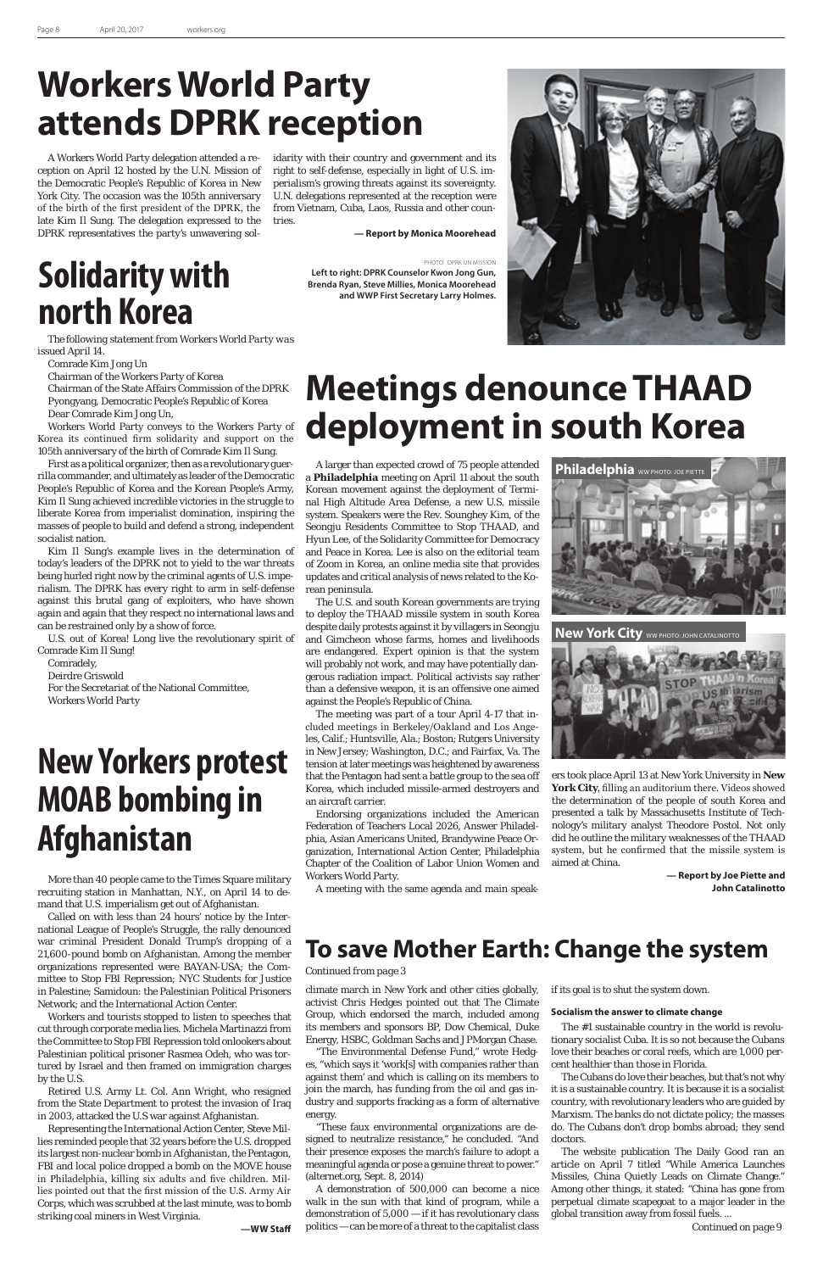A Workers World Party delegation attended a reception on April 12 hosted by the U.N. Mission of the Democratic People's Republic of Korea in New York City. The occasion was the 105th anniversary of the birth of the first president of the DPRK, the late Kim Il Sung. The delegation expressed to the DPRK representatives the party's unwavering sol-

idarity with their country and government and its right to self-defense, especially in light of U.S. imperialism's growing threats against its sovereignty. U.N. delegations represented at the reception were from Vietnam, Cuba, Laos, Russia and other countries.

**— Report by Monica Moorehead**

*The following statement from Workers World Party was issued April 14.*

Comrade Kim Jong Un

Chairman of the Workers Party of Korea

Chairman of the State Affairs Commission of the DPRK Pyongyang, Democratic People's Republic of Korea Dear Comrade Kim Jong Un,

Workers World Party conveys to the Workers Party of Korea its continued firm solidarity and support on the 105th anniversary of the birth of Comrade Kim Il Sung.

First as a political organizer, then as a revolutionary guerrilla commander, and ultimately as leader of the Democratic People's Republic of Korea and the Korean People's Army, Kim Il Sung achieved incredible victories in the struggle to liberate Korea from imperialist domination, inspiring the masses of people to build and defend a strong, independent socialist nation.

Kim Il Sung's example lives in the determination of today's leaders of the DPRK not to yield to the war threats being hurled right now by the criminal agents of U.S. imperialism. The DPRK has every right to arm in self-defense against this brutal gang of exploiters, who have shown again and again that they respect no international laws and can be restrained only by a show of force.

U.S. out of Korea! Long live the revolutionary spirit of Comrade Kim Il Sung!

Comradely,

Deirdre Griswold

For the Secretariat of the National Committee, Workers World Party

More than 40 people came to the Times Square military recruiting station in Manhattan, N.Y., on April 14 to demand that U.S. imperialism get out of Afghanistan.

Called on with less than 24 hours' notice by the International League of People's Struggle, the rally denounced

war criminal President Donald Trump's dropping of a 21,600-pound bomb on Afghanistan. Among the member organizations represented were BAYAN-USA; the Committee to Stop FBI Repression; NYC Students for Justice in Palestine; Samidoun: the Palestinian Political Prisoners Network; and the International Action Center.

Workers and tourists stopped to listen to speeches that cut through corporate media lies. Michela Martinazzi from the Committee to Stop FBI Repression told onlookers about Palestinian political prisoner Rasmea Odeh, who was tortured by Israel and then framed on immigration charges by the U.S.

Retired U.S. Army Lt. Col. Ann Wright, who resigned from the State Department to protest the invasion of Iraq in 2003, attacked the U.S war against Afghanistan.

Representing the International Action Center, Steve Millies reminded people that 32 years before the U.S. dropped its largest non-nuclear bomb in Afghanistan, the Pentagon, FBI and local police dropped a bomb on the MOVE house in Philadelphia, killing six adults and five children. Millies pointed out that the first mission of the U.S. Army Air Corps, which was scrubbed at the last minute, was to bomb striking coal miners in West Virginia.

**—WW Staff**

A larger than expected crowd of 75 people attended a **Philadelphia** meeting on April 11 about the south Korean movement against the deployment of Terminal High Altitude Area Defense, a new U.S. missile system. Speakers were the Rev. Sounghey Kim, of the Seongju Residents Committee to Stop THAAD, and Hyun Lee, of the Solidarity Committee for Democracy and Peace in Korea. Lee is also on the editorial team of Zoom in Korea, an online media site that provides updates and critical analysis of news related to the Korean peninsula.

The U.S. and south Korean governments are trying to deploy the THAAD missile system in south Korea despite daily protests against it by villagers in Seongju and Gimcheon whose farms, homes and livelihoods are endangered. Expert opinion is that the system will probably not work, and may have potentially dangerous radiation impact. Political activists say rather than a defensive weapon, it is an offensive one aimed against the People's Republic of China.

The meeting was part of a tour April 4-17 that included meetings in Berkeley/Oakland and Los Angeles, Calif.; Huntsville, Ala.; Boston; Rutgers University in New Jersey; Washington, D.C.; and Fairfax, Va. The tension at later meetings was heightened by awareness that the Pentagon had sent a battle group to the sea off Korea, which included missile-armed destroyers and an aircraft carrier.

Endorsing organizations included the American Federation of Teachers Local 2026, Answer Philadelphia, Asian Americans United, Brandywine Peace Organization, International Action Center, Philadelphia Chapter of the Coalition of Labor Union Women and Workers World Party.

A meeting with the same agenda and main speak-

ers took place April 13 at New York University in **New York City**, filling an auditorium there. Videos showed the determination of the people of south Korea and presented a talk by Massachusetts Institute of Technology's military analyst Theodore Postol. Not only did he outline the military weaknesses of the THAAD system, but he confirmed that the missile system is aimed at China.

> **— Report by Joe Piette and John Catalinotto**

#### PHOTO: DPRK UN MISSION

 **Left to right: DPRK Counselor Kwon Jong Gun, Brenda Ryan, Steve Millies, Monica Moorehead and WWP First Secretary Larry Holmes.**



## **Workers World Party attends DPRK reception**

## **Solidarity with north Korea**

## **New Yorkers protest MOAB bombing in Afghanistan**

## **Meetings denounce THAAD deployment in south Korea**





#### *Continued from page 3*

climate march in New York and other cities globally, activist Chris Hedges pointed out that The Climate Group, which endorsed the march, included among its members and sponsors BP, Dow Chemical, Duke Energy, HSBC, Goldman Sachs and JPMorgan Chase.

"The Environmental Defense Fund," wrote Hedges, "which says it 'work[s] with companies rather than against them' and which is calling on its members to join the march, has funding from the oil and gas industry and supports fracking as a form of alternative energy.

"These faux environmental organizations are designed to neutralize resistance," he concluded. "And their presence exposes the march's failure to adopt a meaningful agenda or pose a genuine threat to power." (alternet.org, Sept. 8, 2014)

A demonstration of 500,000 can become a nice walk in the sun with that kind of program, while a demonstration of 5,000 — if it has revolutionary class politics — can be more of a threat to the capitalist class

if its goal is to shut the system down.

#### **Socialism the answer to climate change**

The #1 sustainable country in the world is revolutionary socialist Cuba. It is so not because the Cubans love their beaches or coral reefs, which are 1,000 percent healthier than those in Florida.

The Cubans do love their beaches, but that's not why it is a sustainable country. It is because it is a socialist country, with revolutionary leaders who are guided by Marxism. The banks do not dictate policy; the masses do. The Cubans don't drop bombs abroad; they send doctors.

The website publication The Daily Good ran an article on April 7 titled "While America Launches Missiles, China Quietly Leads on Climate Change." Among other things, it stated: "China has gone from perpetual climate scapegoat to a major leader in the global transition away from fossil fuels. ...

### **To save Mother Earth: Change the system**

*Continued on page 9*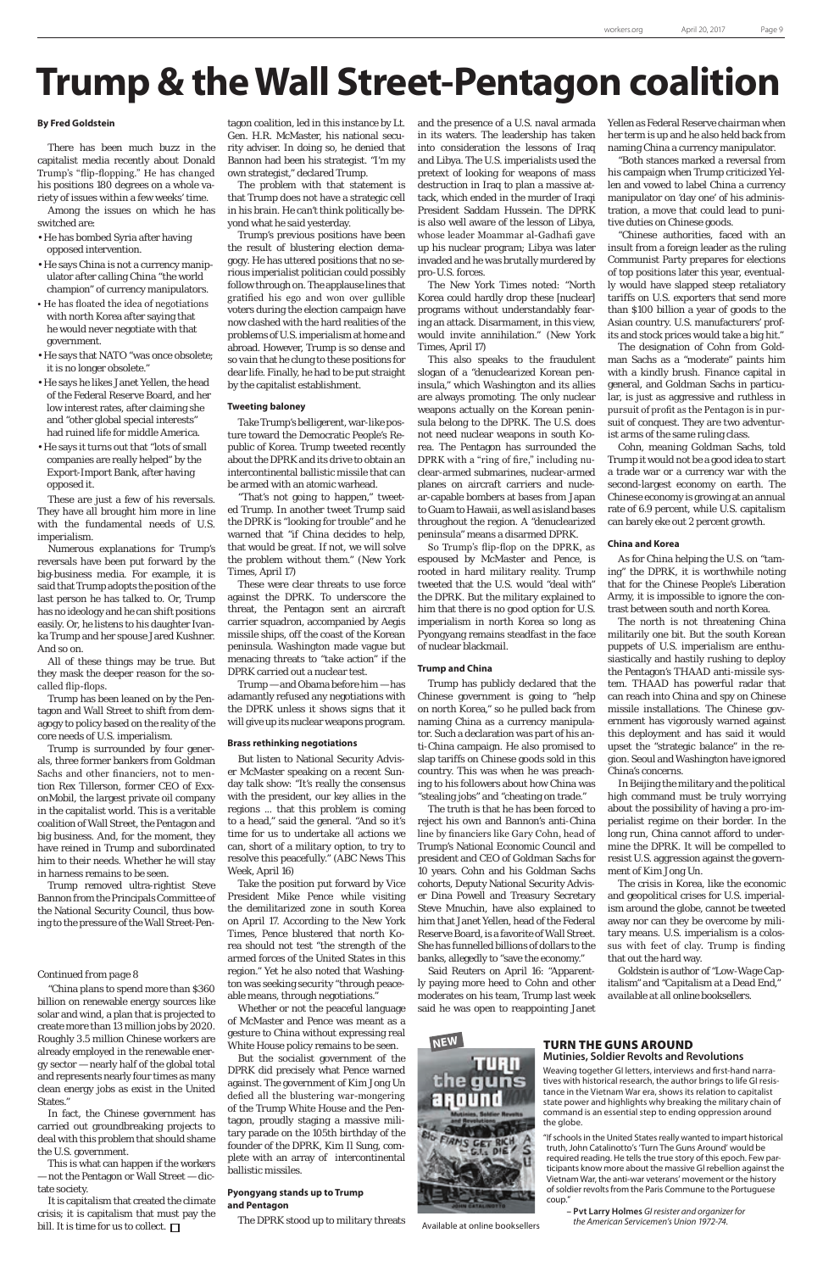# **Trump & the Wall Street-Pentagon coalition**

#### **By Fred Goldstein**

There has been much buzz in the capitalist media recently about Donald Trump's "flip-flopping." He has changed his positions 180 degrees on a whole variety of issues within a few weeks' time.

Among the issues on which he has switched are:

- He has bombed Syria after having opposed intervention.
- He says China is not a currency manipulator after calling China "the world champion" of currency manipulators.
- He has floated the idea of negotiations with north Korea after saying that he would never negotiate with that government.
- He says that NATO "was once obsolete; it is no longer obsolete."
- He says he likes Janet Yellen, the head of the Federal Reserve Board, and her low interest rates, after claiming she and "other global special interests" had ruined life for middle America.
- He says it turns out that "lots of small companies are really helped" by the Export-Import Bank, after having opposed it.

These are just a few of his reversals. They have all brought him more in line with the fundamental needs of U.S. imperialism.

Numerous explanations for Trump's reversals have been put forward by the big-business media. For example, it is said that Trump adopts the position of the last person he has talked to. Or, Trump has no ideology and he can shift positions easily. Or, he listens to his daughter Ivanka Trump and her spouse Jared Kushner. And so on.

All of these things may be true. But they mask the deeper reason for the socalled flip-flops.

Trump has been leaned on by the Pentagon and Wall Street to shift from demagogy to policy based on the reality of the core needs of U.S. imperialism.

Trump is surrounded by four generals, three former bankers from Goldman Sachs and other financiers, not to mention Rex Tillerson, former CEO of ExxonMobil, the largest private oil company in the capitalist world. This is a veritable coalition of Wall Street, the Pentagon and big business. And, for the moment, they have reined in Trump and subordinated him to their needs. Whether he will stay in harness remains to be seen.

Trump removed ultra-rightist Steve Bannon from the Principals Committee of the National Security Council, thus bowing to the pressure of the Wall Street-Pen-

tagon coalition, led in this instance by Lt. Gen. H.R. McMaster, his national security adviser. In doing so, he denied that Bannon had been his strategist. "I'm my own strategist," declared Trump.

The problem with that statement is that Trump does not have a strategic cell in his brain. He can't think politically beyond what he said yesterday.

Trump's previous positions have been the result of blustering election demagogy. He has uttered positions that no serious imperialist politician could possibly follow through on. The applause lines that gratified his ego and won over gullible voters during the election campaign have now clashed with the hard realities of the problems of U.S. imperialism at home and abroad. However, Trump is so dense and so vain that he clung to these positions for dear life. Finally, he had to be put straight by the capitalist establishment.

#### **Tweeting baloney**

Take Trump's belligerent, war-like posture toward the Democratic People's Republic of Korea. Trump tweeted recently about the DPRK and its drive to obtain an intercontinental ballistic missile that can be armed with an atomic warhead.

"That's not going to happen," tweeted Trump. In another tweet Trump said the DPRK is "looking for trouble" and he warned that "if China decides to help, that would be great. If not, we will solve the problem without them." (New York Times, April 17)

These were clear threats to use force against the DPRK. To underscore the threat, the Pentagon sent an aircraft carrier squadron, accompanied by Aegis missile ships, off the coast of the Korean peninsula. Washington made vague but menacing threats to "take action" if the DPRK carried out a nuclear test.

Trump — and Obama before him — has adamantly refused any negotiations with the DPRK unless it shows signs that it will give up its nuclear weapons program.

#### **Brass rethinking negotiations**

But listen to National Security Adviser McMaster speaking on a recent Sunday talk show: "It's really the consensus with the president, our key allies in the regions ... that this problem is coming to a head," said the general. "And so it's time for us to undertake all actions we can, short of a military option, to try to resolve this peacefully." (ABC News This Week, April 16)

#### **Pyongyang stands up to Trump and Pentagon**

The DPRK stood up to military threats

It is capitalism that created the climate crisis; it is capitalism that must pay the bill. It is time for us to collect.  $\Box$ 

and the presence of a U.S. naval armada in its waters. The leadership has taken into consideration the lessons of Iraq and Libya. The U.S. imperialists used the pretext of looking for weapons of mass destruction in Iraq to plan a massive attack, which ended in the murder of Iraqi President Saddam Hussein. The DPRK is also well aware of the lesson of Libya, whose leader Moammar al-Gadhafi gave up his nuclear program; Libya was later invaded and he was brutally murdered by pro-U.S. forces.

The New York Times noted: "North Korea could hardly drop these [nuclear] programs without understandably fearing an attack. Disarmament, in this view, would invite annihilation." (New York Times, April 17)

This also speaks to the fraudulent slogan of a "denuclearized Korean peninsula," which Washington and its allies are always promoting. The only nuclear weapons actually on the Korean peninsula belong to the DPRK. The U.S. does not need nuclear weapons in south Korea. The Pentagon has surrounded the DPRK with a "ring of fire," including nuclear-armed submarines, nuclear-armed planes on aircraft carriers and nuclear-capable bombers at bases from Japan to Guam to Hawaii, as well as island bases throughout the region. A "denuclearized peninsula" means a disarmed DPRK.

So Trump's flip-flop on the DPRK, as espoused by McMaster and Pence, is rooted in hard military reality. Trump tweeted that the U.S. would "deal with" the DPRK. But the military explained to him that there is no good option for U.S. imperialism in north Korea so long as Pyongyang remains steadfast in the face of nuclear blackmail.

#### **Trump and China**

Trump has publicly declared that the Chinese government is going to "help on north Korea," so he pulled back from naming China as a currency manipulator. Such a declaration was part of his anti-China campaign. He also promised to slap tariffs on Chinese goods sold in this country. This was when he was preaching to his followers about how China was "stealing jobs" and "cheating on trade."

Take the position put forward by Vice President Mike Pence while visiting the demilitarized zone in south Korea on April 17. According to the New York Times, Pence blustered that north Korea should not test "the strength of the armed forces of the United States in this region." Yet he also noted that Washington was seeking security "through peaceable means, through negotiations." Whether or not the peaceful language of McMaster and Pence was meant as a gesture to China without expressing real White House policy remains to be seen. But the socialist government of the DPRK did precisely what Pence warned against. The government of Kim Jong Un defied all the blustering war-mongering of the Trump White House and the Pentagon, proudly staging a massive military parade on the 105th birthday of the founder of the DPRK, Kim Il Sung, complete with an array of intercontinental ballistic missiles. moderates on his team, Trump last week *available at all online booksellers.* "China plans to spend more than \$360

The truth is that he has been forced to reject his own and Bannon's anti-China line by financiers like Gary Cohn, head of Trump's National Economic Council and president and CEO of Goldman Sachs for 10 years. Cohn and his Goldman Sachs cohorts, Deputy National Security Adviser Dina Powell and Treasury Secretary Steve Mnuchin, have also explained to him that Janet Yellen, head of the Federal Reserve Board, is a favorite of Wall Street. She has funnelled billions of dollars to the banks, allegedly to "save the economy." Said Reuters on April 16: "Apparently paying more heed to Cohn and other said he was open to reappointing Janet

Yellen as Federal Reserve chairman when her term is up and he also held back from naming China a currency manipulator.

"Both stances marked a reversal from his campaign when Trump criticized Yellen and vowed to label China a currency manipulator on 'day one' of his administration, a move that could lead to punitive duties on Chinese goods.

"Chinese authorities, faced with an insult from a foreign leader as the ruling Communist Party prepares for elections of top positions later this year, eventually would have slapped steep retaliatory tariffs on U.S. exporters that send more than \$100 billion a year of goods to the Asian country. U.S. manufacturers' profits and stock prices would take a big hit."

The designation of Cohn from Goldman Sachs as a "moderate" paints him with a kindly brush. Finance capital in general, and Goldman Sachs in particular, is just as aggressive and ruthless in pursuit of profit as the Pentagon is in pursuit of conquest. They are two adventurist arms of the same ruling class.

Cohn, meaning Goldman Sachs, told Trump it would not be a good idea to start a trade war or a currency war with the second-largest economy on earth. The Chinese economy is growing at an annual rate of 6.9 percent, while U.S. capitalism can barely eke out 2 percent growth.

#### **China and Korea**

As for China helping the U.S. on "taming" the DPRK, it is worthwhile noting that for the Chinese People's Liberation Army, it is impossible to ignore the contrast between south and north Korea.

The north is not threatening China militarily one bit. But the south Korean puppets of U.S. imperialism are enthusiastically and hastily rushing to deploy the Pentagon's THAAD anti-missile system. THAAD has powerful radar that can reach into China and spy on Chinese missile installations. The Chinese government has vigorously warned against this deployment and has said it would upset the "strategic balance" in the region. Seoul and Washington have ignored China's concerns.

In Beijing the military and the political high command must be truly worrying about the possibility of having a pro-imperialist regime on their border. In the long run, China cannot afford to undermine the DPRK. It will be compelled to resist U.S. aggression against the government of Kim Jong Un.

The crisis in Korea, like the economic and geopolitical crises for U.S. imperialism around the globe, cannot be tweeted away nor can they be overcome by military means. U.S. imperialism is a colossus with feet of clay. Trump is finding that out the hard way. *Goldstein is author of "Low-Wage Capitalism" and "Capitalism at a Dead End,"* 

billion on renewable energy sources like solar and wind, a plan that is projected to create more than 13 million jobs by 2020. Roughly 3.5 million Chinese workers are already employed in the renewable energy sector — nearly half of the global total and represents nearly four times as many clean energy jobs as exist in the United States."

In fact, the Chinese government has carried out groundbreaking projects to deal with this problem that should shame the U.S. government.

This is what can happen if the workers — not the Pentagon or Wall Street — dictate society.

#### *Continued from page 8*

#### TURN THE GUNS AROUND **Mutinies, Soldier Revolts and Revolutions**

Weaving together GI letters, interviews and first-hand narratives with historical research, the author brings to life GI resistance in the Vietnam War era, shows its relation to capitalist state power and highlights why breaking the military chain of command is an essential step to ending oppression around the globe.

"If schools in the United States really wanted to impart historical truth, John Catalinotto's 'Turn The Guns Around' would be required reading. He tells the true story of this epoch. Few participants know more about the massive GI rebellion against the Vietnam War, the anti-war veterans' movement or the history of soldier revolts from the Paris Commune to the Portuguese coup."

 **– Pvt Larry Holmes** *GI resister and organizer for the American Servicemen's Union 1972-74.* Available at online booksellers

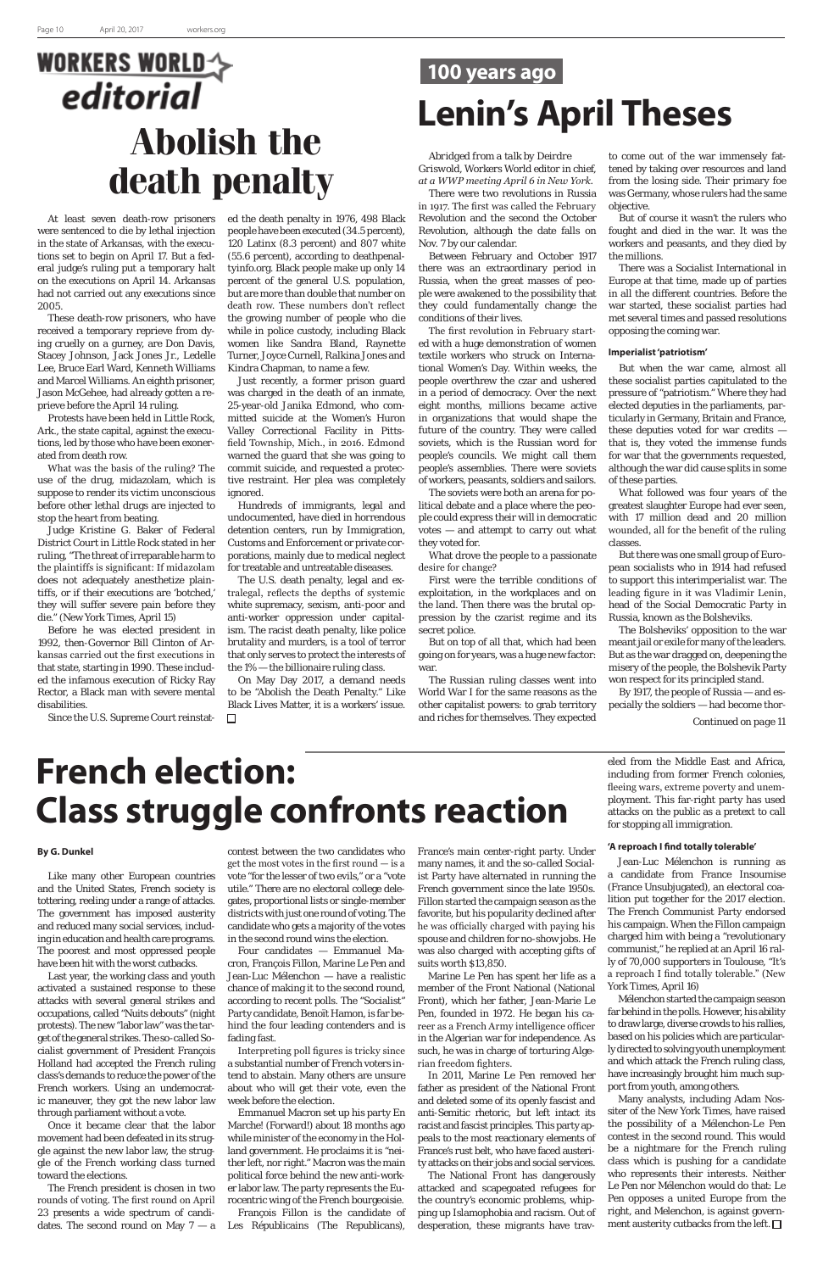At least seven death-row prisoners were sentenced to die by lethal injection in the state of Arkansas, with the executions set to begin on April 17. But a federal judge's ruling put a temporary halt on the executions on April 14. Arkansas had not carried out any executions since 2005.

These death-row prisoners, who have received a temporary reprieve from dying cruelly on a gurney, are Don Davis, Stacey Johnson, Jack Jones Jr., Ledelle Lee, Bruce Earl Ward, Kenneth Williams and Marcel Williams. An eighth prisoner, Jason McGehee, had already gotten a reprieve before the April 14 ruling.

Protests have been held in Little Rock, Ark., the state capital, against the executions, led by those who have been exonerated from death row.

What was the basis of the ruling? The use of the drug, midazolam, which is suppose to render its victim unconscious before other lethal drugs are injected to stop the heart from beating.

Judge Kristine G. Baker of Federal District Court in Little Rock stated in her ruling, "The threat of irreparable harm to the plaintiffs is significant: If midazolam does not adequately anesthetize plaintiffs, or if their executions are 'botched,' they will suffer severe pain before they die." (New York Times, April 15)

Before he was elected president in 1992, then-Governor Bill Clinton of Arkansas carried out the first executions in that state, starting in 1990. These included the infamous execution of Ricky Ray Rector, a Black man with severe mental disabilities.

On May Day 2017, a demand needs to be "Abolish the Death Penalty." Like Black Lives Matter, it is a workers' issue.  $\Box$ 

Since the U.S. Supreme Court reinstat-

ed the death penalty in 1976, 498 Black people have been executed (34.5 percent), 120 Latinx (8.3 percent) and 807 white (55.6 percent), according to deathpenaltyinfo.org. Black people make up only 14 percent of the general U.S. population, but are more than double that number on death row. These numbers don't reflect the growing number of people who die while in police custody, including Black women like Sandra Bland, Raynette Turner, Joyce Curnell, Ralkina Jones and Kindra Chapman, to name a few.

The French president is chosen in two rounds of voting. The first round on April 23 presents a wide spectrum of candidates. The second round on May  $7 - a$ 

Just recently, a former prison guard was charged in the death of an inmate, 25-year-old Janika Edmond, who committed suicide at the Women's Huron Valley Correctional Facility in Pittsfield Township, Mich., in 2016. Edmond warned the guard that she was going to commit suicide, and requested a protective restraint. Her plea was completely ignored.

Hundreds of immigrants, legal and undocumented, have died in horrendous detention centers, run by Immigration, Customs and Enforcement or private corporations, mainly due to medical neglect for treatable and untreatable diseases.

The U.S. death penalty, legal and extralegal, reflects the depths of systemic white supremacy, sexism, anti-poor and anti-worker oppression under capitalism. The racist death penalty, like police brutality and murders, is a tool of terror that only serves to protect the interests of the 1% — the billionaire ruling class.

#### **By G. Dunkel**

Like many other European countries and the United States, French society is tottering, reeling under a range of attacks. The government has imposed austerity and reduced many social services, includ-

ing in education and health care programs. The poorest and most oppressed people have been hit with the worst cutbacks.

Last year, the working class and youth activated a sustained response to these attacks with several general strikes and occupations, called "Nuits debouts" (night protests). The new "labor law" was the target of the general strikes. The so-called Socialist government of President François Holland had accepted the French ruling class's demands to reduce the power of the French workers. Using an undemocratic maneuver, they got the new labor law through parliament without a vote.

Once it became clear that the labor movement had been defeated in its struggle against the new labor law, the struggle of the French working class turned toward the elections.

## WORKERS WORLD editorial **Abolish the death penalty**

contest between the two candidates who get the most votes in the first round — is a vote "for the lesser of two evils," or a "vote utile." There are no electoral college delegates, proportional lists or single-member districts with just one round of voting. The candidate who gets a majority of the votes

in the second round wins the election.

Four candidates — Emmanuel Macron, François Fillon, Marine Le Pen and Jean-Luc Mélenchon — have a realistic chance of making it to the second round, according to recent polls. The "Socialist" Party candidate, Benoït Hamon, is far behind the four leading contenders and is fading fast.

Interpreting poll figures is tricky since a substantial number of French voters intend to abstain. Many others are unsure about who will get their vote, even the week before the election.

Jean-Luc Mélenchon is running as a candidate from France Insoumise (France Unsubjugated), an electoral coalition put together for the 2017 election. The French Communist Party endorsed his campaign. When the Fillon campaign charged him with being a "revolutionary communist," he replied at an April 16 rally of 70,000 supporters in Toulouse, "It's a reproach I find totally tolerable." (New York Times, April 16) Mélenchon started the campaign season far behind in the polls. However, his ability to draw large, diverse crowds to his rallies, based on his policies which are particularly directed to solving youth unemployment and which attack the French ruling class, have increasingly brought him much support from youth, among others. Many analysts, including Adam Nossiter of the New York Times, have raised the possibility of a Mélenchon-Le Pen contest in the second round. This would be a nightmare for the French ruling class which is pushing for a candidate who represents their interests. Neither Le Pen nor Mélenchon would do that: Le Pen opposes a united Europe from the right, and Melenchon, is against government austerity cutbacks from the left.  $\square$ 

Emmanuel Macron set up his party En Marche! (Forward!) about 18 months ago while minister of the economy in the Holland government. He proclaims it is "neither left, nor right." Macron was the main political force behind the new anti-worker labor law. The party represents the Eurocentric wing of the French bourgeoisie. François Fillon is the candidate of Les Républicains (The Republicans),

*Abridged from a talk by Deirdre Griswold, Workers World editor in chief, at a WWP meeting April 6 in New York.*

There were two revolutions in Russia in 1917. The first was called the February Revolution and the second the October Revolution, although the date falls on Nov. 7 by our calendar.

Between February and October 1917 there was an extraordinary period in Russia, when the great masses of people were awakened to the possibility that they could fundamentally change the conditions of their lives.

The first revolution in February started with a huge demonstration of women textile workers who struck on International Women's Day. Within weeks, the people overthrew the czar and ushered in a period of democracy. Over the next eight months, millions became active in organizations that would shape the future of the country. They were called soviets, which is the Russian word for people's councils. We might call them people's assemblies. There were soviets of workers, peasants, soldiers and sailors.

The soviets were both an arena for political debate and a place where the people could express their will in democratic votes — and attempt to carry out what they voted for.

What drove the people to a passionate desire for change?

First were the terrible conditions of exploitation, in the workplaces and on the land. Then there was the brutal oppression by the czarist regime and its secret police.

But on top of all that, which had been going on for years, was a huge new factor: war.

The Russian ruling classes went into World War I for the same reasons as the other capitalist powers: to grab territory and riches for themselves. They expected

to come out of the war immensely fattened by taking over resources and land from the losing side. Their primary foe was Germany, whose rulers had the same objective.

But of course it wasn't the rulers who fought and died in the war. It was the workers and peasants, and they died by the millions.

There was a Socialist International in Europe at that time, made up of parties in all the different countries. Before the war started, these socialist parties had met several times and passed resolutions opposing the coming war.

#### **Imperialist 'patriotism'**

But when the war came, almost all these socialist parties capitulated to the pressure of "patriotism." Where they had elected deputies in the parliaments, particularly in Germany, Britain and France, these deputies voted for war credits that is, they voted the immense funds for war that the governments requested, although the war did cause splits in some of these parties.

What followed was four years of the greatest slaughter Europe had ever seen, with 17 million dead and 20 million wounded, all for the benefit of the ruling classes.

But there was one small group of European socialists who in 1914 had refused to support this interimperialist war. The leading figure in it was Vladimir Lenin, head of the Social Democratic Party in Russia, known as the Bolsheviks.

The Bolsheviks' opposition to the war meant jail or exile for many of the leaders. But as the war dragged on, deepening the misery of the people, the Bolshevik Party won respect for its principled stand.

By 1917, the people of Russia — and especially the soldiers — had become thor-

France's main center-right party. Under many names, it and the so-called Socialist Party have alternated in running the French government since the late 1950s. Fillon started the campaign season as the favorite, but his popularity declined after he was officially charged with paying his

spouse and children for no-show jobs. He was also charged with accepting gifts of suits worth \$13,850.

Marine Le Pen has spent her life as a member of the Front National (National Front), which her father, Jean-Marie Le Pen, founded in 1972. He began his career as a French Army intelligence officer in the Algerian war for independence. As such, he was in charge of torturing Algerian freedom fighters.

In 2011, Marine Le Pen removed her father as president of the National Front and deleted some of its openly fascist and anti-Semitic rhetoric, but left intact its racist and fascist principles. This party appeals to the most reactionary elements of France's rust belt, who have faced austerity attacks on their jobs and social services.

The National Front has dangerously attacked and scapegoated refugees for the country's economic problems, whipping up Islamophobia and racism. Out of desperation, these migrants have traveled from the Middle East and Africa, including from former French colonies, fleeing wars, extreme poverty and unemployment. This far-right party has used attacks on the public as a pretext to call for stopping all immigration.

#### **'A reproach I find totally tolerable'**

## **French election: Class struggle confronts reaction**

## **100 years ago Lenin's April Theses**

*Continued on page 11*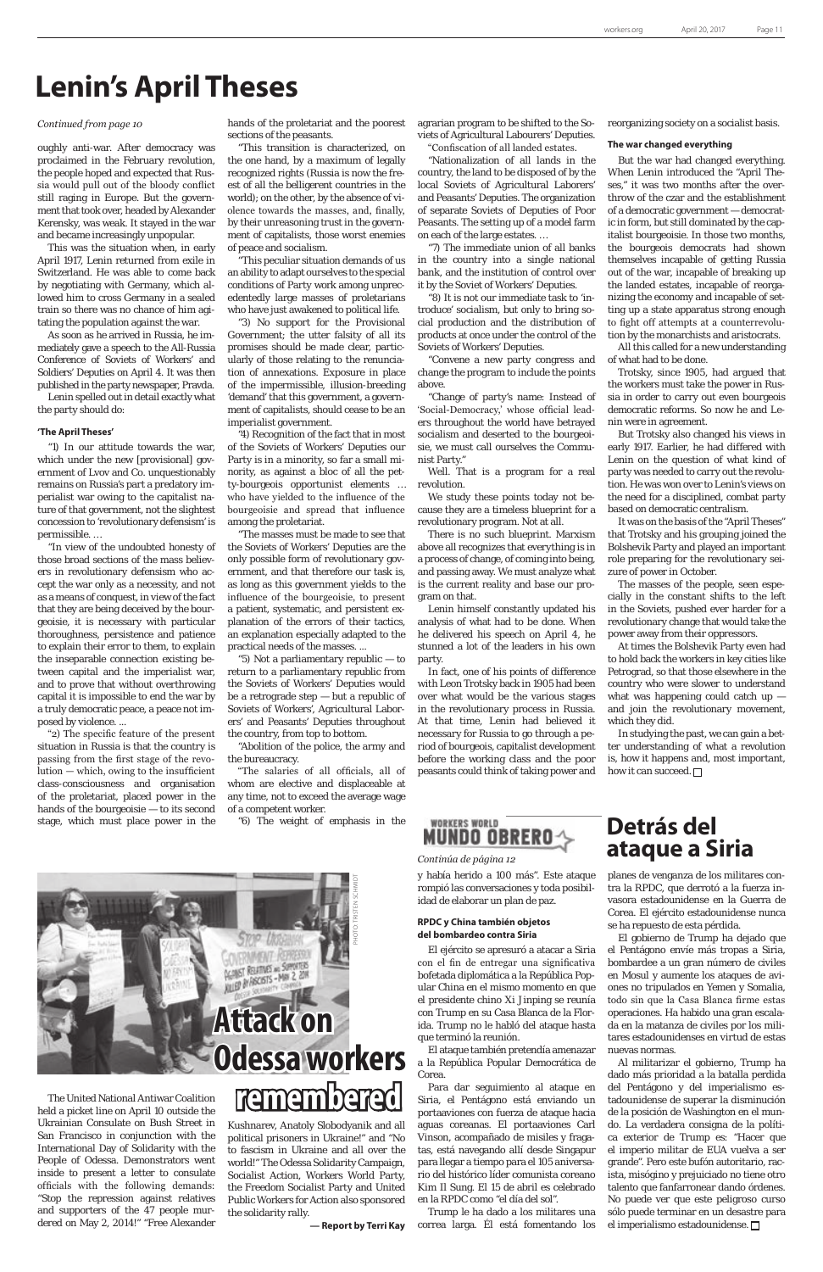oughly anti-war. After democracy was proclaimed in the February revolution, the people hoped and expected that Russia would pull out of the bloody conflict still raging in Europe. But the government that took over, headed by Alexander Kerensky, was weak. It stayed in the war and became increasingly unpopular.

This was the situation when, in early April 1917, Lenin returned from exile in Switzerland. He was able to come back by negotiating with Germany, which allowed him to cross Germany in a sealed train so there was no chance of him agitating the population against the war.

As soon as he arrived in Russia, he immediately gave a speech to the All-Russia Conference of Soviets of Workers' and Soldiers' Deputies on April 4. It was then published in the party newspaper, Pravda.

Lenin spelled out in detail exactly what the party should do:

#### **'The April Theses'**

"1) In our attitude towards the war, which under the new [provisional] government of Lvov and Co. unquestionably remains on Russia's part a predatory imperialist war owing to the capitalist nature of that government, not the slightest concession to 'revolutionary defensism' is permissible. …

"In view of the undoubted honesty of those broad sections of the mass believers in revolutionary defensism who accept the war only as a necessity, and not as a means of conquest, in view of the fact that they are being deceived by the bourgeoisie, it is necessary with particular thoroughness, persistence and patience to explain their error to them, to explain the inseparable connection existing between capital and the imperialist war, and to prove that without overthrowing capital it is impossible to end the war by a truly democratic peace, a peace not imposed by violence. ...

"2) The specific feature of the present situation in Russia is that the country is passing from the first stage of the revolution — which, owing to the insufficient class-consciousness and organisation of the proletariat, placed power in the hands of the bourgeoisie — to its second stage, which must place power in the

hands of the proletariat and the poorest sections of the peasants.

"This transition is characterized, on the one hand, by a maximum of legally recognized rights (Russia is now the freest of all the belligerent countries in the world); on the other, by the absence of violence towards the masses, and, finally, by their unreasoning trust in the government of capitalists, those worst enemies of peace and socialism.

"This peculiar situation demands of us an ability to adapt ourselves to the special conditions of Party work among unprecedentedly large masses of proletarians who have just awakened to political life.

"3) No support for the Provisional Government; the utter falsity of all its promises should be made clear, particularly of those relating to the renunciation of annexations. Exposure in place of the impermissible, illusion-breeding 'demand' that this government, a government of capitalists, should cease to be an imperialist government.

"4) Recognition of the fact that in most of the Soviets of Workers' Deputies our Party is in a minority, so far a small minority, as against a bloc of all the petty-bourgeois opportunist elements … who have yielded to the influence of the bourgeoisie and spread that influence among the proletariat.

"The masses must be made to see that the Soviets of Workers' Deputies are the only possible form of revolutionary government, and that therefore our task is, as long as this government yields to the influence of the bourgeoisie, to present a patient, systematic, and persistent explanation of the errors of their tactics, an explanation especially adapted to the practical needs of the masses. ...

"5) Not a parliamentary republic — to return to a parliamentary republic from the Soviets of Workers' Deputies would be a retrograde step — but a republic of Soviets of Workers', Agricultural Laborers' and Peasants' Deputies throughout the country, from top to bottom.

In studying the past, we can gain a better understanding of what a revolution is, how it happens and, most important, how it can succeed.  $\square$ 

"Abolition of the police, the army and the bureaucracy.

"The salaries of all officials, all of whom are elective and displaceable at any time, not to exceed the average wage of a competent worker.

"6) The weight of emphasis in the

agrarian program to be shifted to the Soviets of Agricultural Labourers' Deputies. "Confiscation of all landed estates. "Nationalization of all lands in the country, the land to be disposed of by the local Soviets of Agricultural Laborers' and Peasants' Deputies. The organization of separate Soviets of Deputies of Poor Peasants. The setting up of a model farm

## **CANNEL RELETTEES AND SUPPORT PASSE RELEASE & MAY 2 Attack on Odessa workers**

on each of the large estates. …

"7) The immediate union of all banks in the country into a single national bank, and the institution of control over it by the Soviet of Workers' Deputies. "8) It is not our immediate task to 'introduce' socialism, but only to bring social production and the distribution of products at once under the control of the

Soviets of Workers' Deputies.

"Convene a new party congress and change the program to include the points

above.

"Change of party's name: Instead of 'Social-Democracy,' whose official leaders throughout the world have betrayed socialism and deserted to the bourgeoisie, we must call ourselves the Commu-

nist Party."

Well. That is a program for a real

revolution.

We study these points today not because they are a timeless blueprint for a revolutionary program. Not at all.

There is no such blueprint. Marxism above all recognizes that everything is in a process of change, of coming into being, and passing away. We must analyze what is the current reality and base our pro-

gram on that.

Lenin himself constantly updated his analysis of what had to be done. When he delivered his speech on April 4, he stunned a lot of the leaders in his own

party.

In fact, one of his points of difference with Leon Trotsky back in 1905 had been over what would be the various stages in the revolutionary process in Russia. At that time, Lenin had believed it necessary for Russia to go through a period of bourgeois, capitalist development before the working class and the poor peasants could think of taking power and

reorganizing society on a socialist basis.

#### **The war changed everything**

But the war had changed everything. When Lenin introduced the "April Theses," it was two months after the overthrow of the czar and the establishment of a democratic government — democratic in form, but still dominated by the capitalist bourgeoisie. In those two months, the bourgeois democrats had shown themselves incapable of getting Russia out of the war, incapable of breaking up the landed estates, incapable of reorganizing the economy and incapable of setting up a state apparatus strong enough to fight off attempts at a counterrevolution by the monarchists and aristocrats.

All this called for a new understanding of what had to be done.

Trotsky, since 1905, had argued that the workers must take the power in Russia in order to carry out even bourgeois democratic reforms. So now he and Lenin were in agreement.

But Trotsky also changed his views in early 1917. Earlier, he had differed with Lenin on the question of what kind of party was needed to carry out the revolution. He was won over to Lenin's views on the need for a disciplined, combat party based on democratic centralism.

It was on the basis of the "April Theses" that Trotsky and his grouping joined the Bolshevik Party and played an important role preparing for the revolutionary seizure of power in October.

The masses of the people, seen especially in the constant shifts to the left in the Soviets, pushed ever harder for a revolutionary change that would take the power away from their oppressors.

At times the Bolshevik Party even had to hold back the workers in key cities like Petrograd, so that those elsewhere in the country who were slower to understand what was happening could catch up and join the revolutionary movement, which they did.

The United National Antiwar Coalition held a picket line on April 10 outside the Ukrainian Consulate on Bush Street in San Francisco in conjunction with the International Day of Solidarity with the People of Odessa. Demonstrators went inside to present a letter to consulate officials with the following demands: "Stop the repression against relatives and supporters of the 47 people murdered on May 2, 2014!" "Free Alexander

#### *Continued from page 10*

PHOTO: TRISTEN SCHMIDT

### **Lenin's April Theses**

Kushnarev, Anatoly Slobodyanik and all political prisoners in Ukraine!" and "No to fascism in Ukraine and all over the world!" The Odessa Solidarity Campaign, Socialist Action, Workers World Party, the Freedom Socialist Party and United Public Workers for Action also sponsored the solidarity rally.

**— Report by Terri Kay**

# **remembered**

y había herido a 100 más". Este ataque rompió las conversaciones y toda posibilidad de elaborar un plan de paz.

**RPDC y China también objetos** 

#### **del bombardeo contra Siria**

El ejército se apresuró a atacar a Siria con el fin de entregar una significativa bofetada diplomática a la República Popular China en el mismo momento en que el presidente chino Xi Jinping se reunía con Trump en su Casa Blanca de la Florida. Trump no le habló del ataque hasta que terminó la reunión.

El ataque también pretendía amenazar a la República Popular Democrática de Corea.

Para dar seguimiento al ataque en Siria, el Pentágono está enviando un portaaviones con fuerza de ataque hacia aguas coreanas. El portaaviones Carl Vinson, acompañado de misiles y fragatas, está navegando allí desde Singapur para llegar a tiempo para el 105 aniversario del histórico líder comunista coreano Kim Il Sung. El 15 de abril es celebrado en la RPDC como "el día del sol".

Trump le ha dado a los militares una correa larga. Él está fomentando los planes de venganza de los militares contra la RPDC, que derrotó a la fuerza invasora estadounidense en la Guerra de Corea. El ejército estadounidense nunca se ha repuesto de esta pérdida. El gobierno de Trump ha dejado que el Pentágono envíe más tropas a Siria, bombardee a un gran número de civiles en Mosul y aumente los ataques de aviones no tripulados en Yemen y Somalia, todo sin que la Casa Blanca firme estas operaciones. Ha habido una gran escalada en la matanza de civiles por los militares estadounidenses en virtud de estas nuevas normas. Al militarizar el gobierno, Trump ha dado más prioridad a la batalla perdida del Pentágono y del imperialismo estadounidense de superar la disminución de la posición de Washington en el mundo. La verdadera consigna de la política exterior de Trump es: "Hacer que el imperio militar de EUA vuelva a ser grande". Pero este bufón autoritario, racista, misógino y prejuiciado no tiene otro talento que fanfarronear dando órdenes. No puede ver que este peligroso curso sólo puede terminar en un desastre para el imperialismo estadounidense.



*Continúa de página 12*

### **Detrás del ataque a Siria**